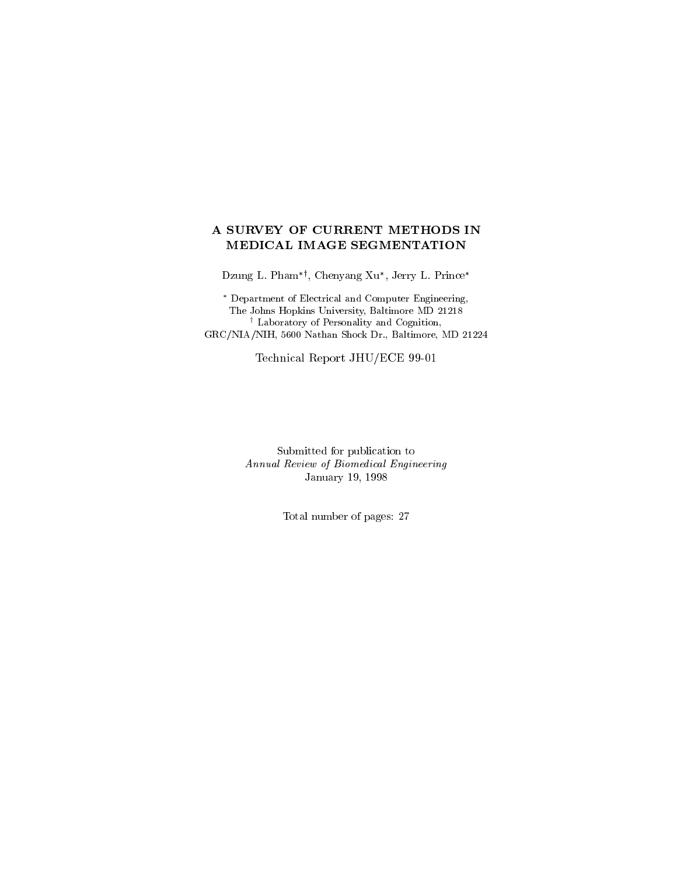# A SURVEY OF CURRENT METHODS IN MEDICAL IMAGE SEGMENTATION

Dzung L. Phamy, Chenyang Xu , Jerry L. Prince

 Department of Electrical and Computer Engineering, The Johns Hopkins University, Baltimore MD 21218 <sup>y</sup> Laboratory of Personality and Cognition, GRC/NIA/NIH, 5600 Nathan Shock Dr., Baltimore, MD 21224

Technical Report JHU/ECE 99-01

Submitted for publication toAnnual Review of Biomedical Engineering January 19, 1998

Total number of pages: <sup>27</sup>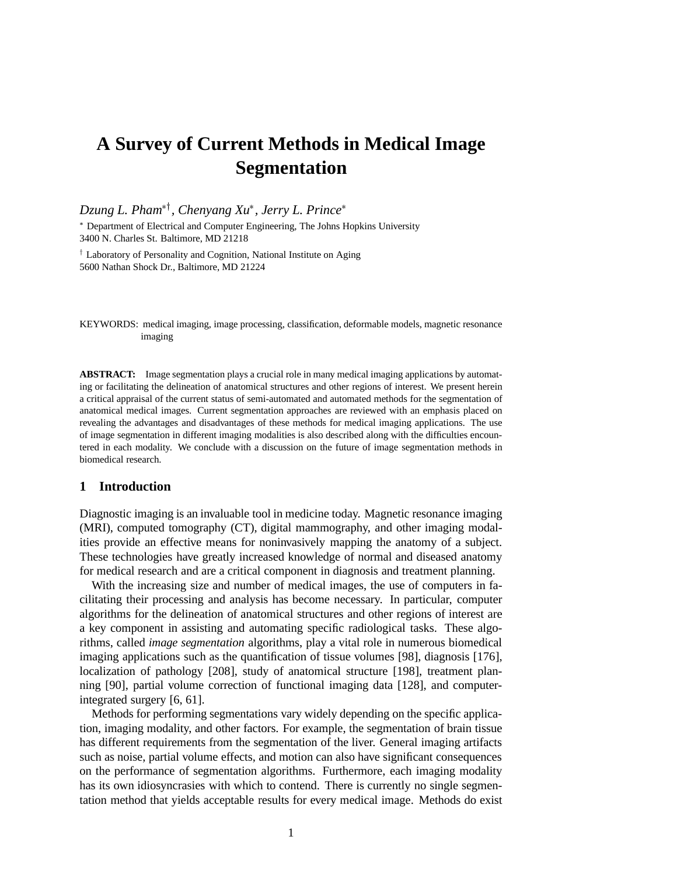# **A Survey of Current Methods in Medical Image Segmentation**

*Dzung L. Pham*y*, Chenyang Xu , Jerry L. Prince*

 Department of Electrical and Computer Engineering, The Johns Hopkins University 3400 N. Charles St. Baltimore, MD 21218

<sup>†</sup> Laboratory of Personality and Cognition, National Institute on Aging 5600 Nathan Shock Dr., Baltimore, MD 21224

KEYWORDS: medical imaging, image processing, classification, deformable models, magnetic resonance imaging

**ABSTRACT:** Image segmentation plays a crucial role in many medical imaging applications by automating or facilitating the delineation of anatomical structures and other regions of interest. We present herein a critical appraisal of the current status of semi-automated and automated methods for the segmentation of anatomical medical images. Current segmentation approaches are reviewed with an emphasis placed on revealing the advantages and disadvantages of these methods for medical imaging applications. The use of image segmentation in different imaging modalities is also described along with the difficulties encountered in each modality. We conclude with a discussion on the future of image segmentation methods in biomedical research.

# **1 Introduction**

Diagnostic imaging is an invaluable tool in medicine today. Magnetic resonance imaging (MRI), computed tomography (CT), digital mammography, and other imaging modalities provide an effective means for noninvasively mapping the anatomy of a subject. These technologies have greatly increased knowledge of normal and diseased anatomy for medical research and are a critical component in diagnosis and treatment planning.

With the increasing size and number of medical images, the use of computers in facilitating their processing and analysis has become necessary. In particular, computer algorithms for the delineation of anatomical structures and other regions of interest are a key component in assisting and automating specific radiological tasks. These algorithms, called *image segmentation* algorithms, play a vital role in numerous biomedical imaging applications such as the quantification of tissue volumes [98], diagnosis [176], localization of pathology [208], study of anatomical structure [198], treatment planning [90], partial volume correction of functional imaging data [128], and computerintegrated surgery [6, 61].

Methods for performing segmentations vary widely depending on the specific application, imaging modality, and other factors. For example, the segmentation of brain tissue has different requirements from the segmentation of the liver. General imaging artifacts such as noise, partial volume effects, and motion can also have significant consequences on the performance of segmentation algorithms. Furthermore, each imaging modality has its own idiosyncrasies with which to contend. There is currently no single segmentation method that yields acceptable results for every medical image. Methods do exist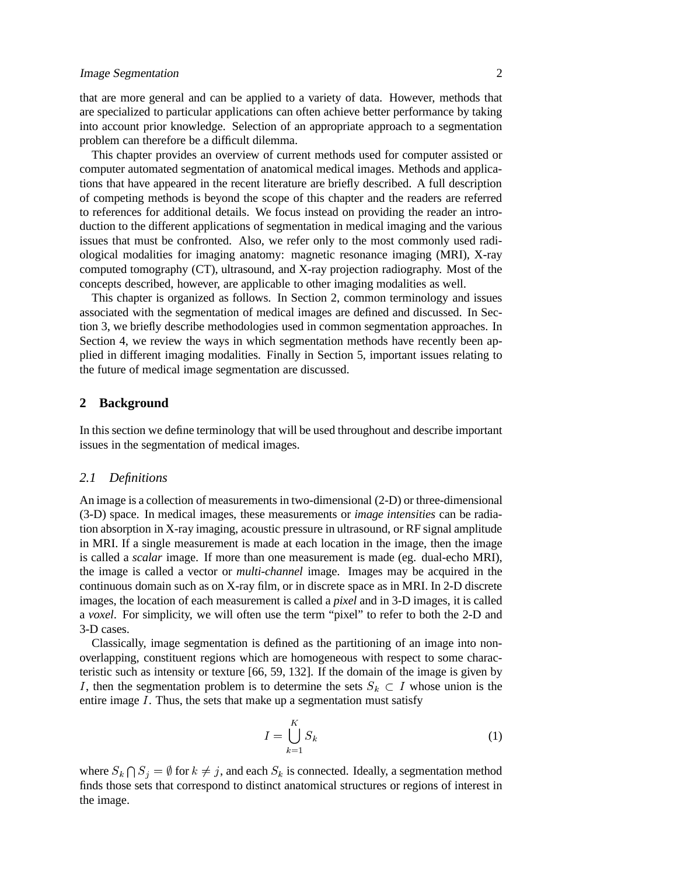that are more general and can be applied to a variety of data. However, methods that are specialized to particular applications can often achieve better performance by taking into account prior knowledge. Selection of an appropriate approach to a segmentation problem can therefore be a difficult dilemma.

This chapter provides an overview of current methods used for computer assisted or computer automated segmentation of anatomical medical images. Methods and applications that have appeared in the recent literature are briefly described. A full description of competing methods is beyond the scope of this chapter and the readers are referred to references for additional details. We focus instead on providing the reader an introduction to the different applications of segmentation in medical imaging and the various issues that must be confronted. Also, we refer only to the most commonly used radiological modalities for imaging anatomy: magnetic resonance imaging (MRI), X-ray computed tomography (CT), ultrasound, and X-ray projection radiography. Most of the concepts described, however, are applicable to other imaging modalities as well.

This chapter is organized as follows. In Section 2, common terminology and issues associated with the segmentation of medical images are defined and discussed. In Section 3, we briefly describe methodologies used in common segmentation approaches. In Section 4, we review the ways in which segmentation methods have recently been applied in different imaging modalities. Finally in Section 5, important issues relating to the future of medical image segmentation are discussed.

# **2 Background**

In this section we define terminology that will be used throughout and describe important issues in the segmentation of medical images.

## *2.1 Definitions*

An image is a collection of measurements in two-dimensional (2-D) or three-dimensional (3-D) space. In medical images, these measurements or *image intensities* can be radiation absorption in X-ray imaging, acoustic pressure in ultrasound, or RF signal amplitude in MRI. If a single measurement is made at each location in the image, then the image is called a *scalar* image. If more than one measurement is made (eg. dual-echo MRI), the image is called a vector or *multi-channel* image. Images may be acquired in the continuous domain such as on X-ray film, or in discrete space as in MRI. In 2-D discrete images, the location of each measurement is called a *pixel* and in 3-D images, it is called a *voxel*. For simplicity, we will often use the term "pixel" to refer to both the 2-D and 3-D cases.

Classically, image segmentation is defined as the partitioning of an image into nonoverlapping, constituent regions which are homogeneous with respect to some characteristic such as intensity or texture [66, 59, 132]. If the domain of the image is given by I, then the segmentation problem is to determine the sets  $S_k \subset I$  whose union is the entire image  $I$ . Thus, the sets that make up a segmentation must satisfy

$$
I = \bigcup_{k=1}^{K} S_k \tag{1}
$$

where  $S_k \bigcap S_j = \emptyset$  for  $k \neq j$ , and each  $S_k$  is connected. Ideally, a segmentation method finds those sets that correspond to distinct anatomical structures or regions of interest in the image.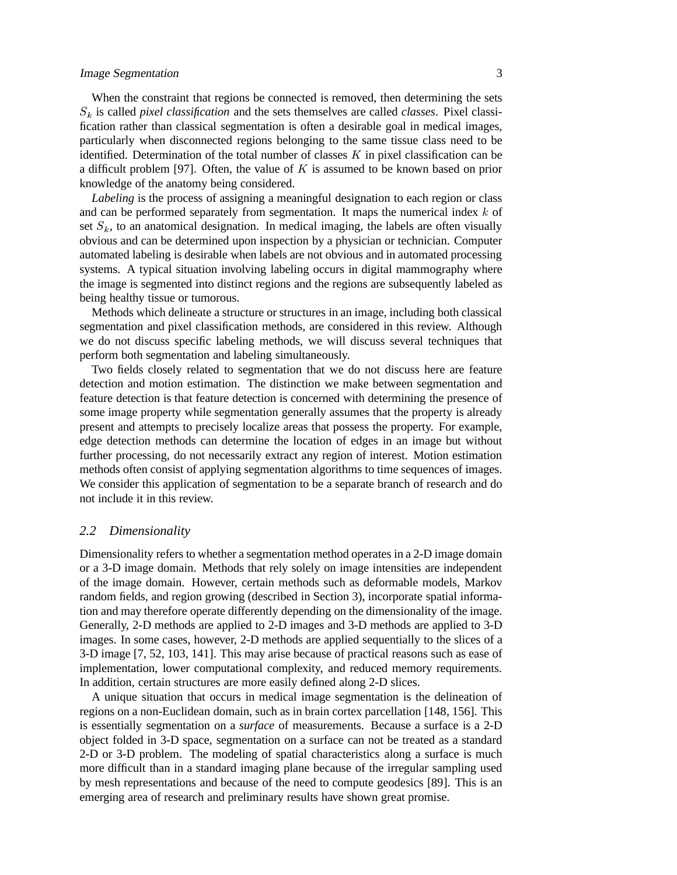When the constraint that regions be connected is removed, then determining the sets  $S_k$  is called *pixel classification* and the sets themselves are called *classes*. Pixel classification rather than classical segmentation is often a desirable goal in medical images, particularly when disconnected regions belonging to the same tissue class need to be identified. Determination of the total number of classes  $K$  in pixel classification can be a difficult problem [97]. Often, the value of  $K$  is assumed to be known based on prior knowledge of the anatomy being considered.

*Labeling* is the process of assigning a meaningful designation to each region or class and can be performed separately from segmentation. It maps the numerical index  $k$  of set  $S_k$ , to an anatomical designation. In medical imaging, the labels are often visually obvious and can be determined upon inspection by a physician or technician. Computer automated labeling is desirable when labels are not obvious and in automated processing systems. A typical situation involving labeling occurs in digital mammography where the image is segmented into distinct regions and the regions are subsequently labeled as being healthy tissue or tumorous.

Methods which delineate a structure or structures in an image, including both classical segmentation and pixel classification methods, are considered in this review. Although we do not discuss specific labeling methods, we will discuss several techniques that perform both segmentation and labeling simultaneously.

Two fields closely related to segmentation that we do not discuss here are feature detection and motion estimation. The distinction we make between segmentation and feature detection is that feature detection is concerned with determining the presence of some image property while segmentation generally assumes that the property is already present and attempts to precisely localize areas that possess the property. For example, edge detection methods can determine the location of edges in an image but without further processing, do not necessarily extract any region of interest. Motion estimation methods often consist of applying segmentation algorithms to time sequences of images. We consider this application of segmentation to be a separate branch of research and do not include it in this review.

## *2.2 Dimensionality*

Dimensionality refers to whether a segmentation method operates in a 2-D image domain or a 3-D image domain. Methods that rely solely on image intensities are independent of the image domain. However, certain methods such as deformable models, Markov random fields, and region growing (described in Section 3), incorporate spatial information and may therefore operate differently depending on the dimensionality of the image. Generally, 2-D methods are applied to 2-D images and 3-D methods are applied to 3-D images. In some cases, however, 2-D methods are applied sequentially to the slices of a 3-D image [7, 52, 103, 141]. This may arise because of practical reasons such as ease of implementation, lower computational complexity, and reduced memory requirements. In addition, certain structures are more easily defined along 2-D slices.

A unique situation that occurs in medical image segmentation is the delineation of regions on a non-Euclidean domain, such as in brain cortex parcellation [148, 156]. This is essentially segmentation on a *surface* of measurements. Because a surface is a 2-D object folded in 3-D space, segmentation on a surface can not be treated as a standard 2-D or 3-D problem. The modeling of spatial characteristics along a surface is much more difficult than in a standard imaging plane because of the irregular sampling used by mesh representations and because of the need to compute geodesics [89]. This is an emerging area of research and preliminary results have shown great promise.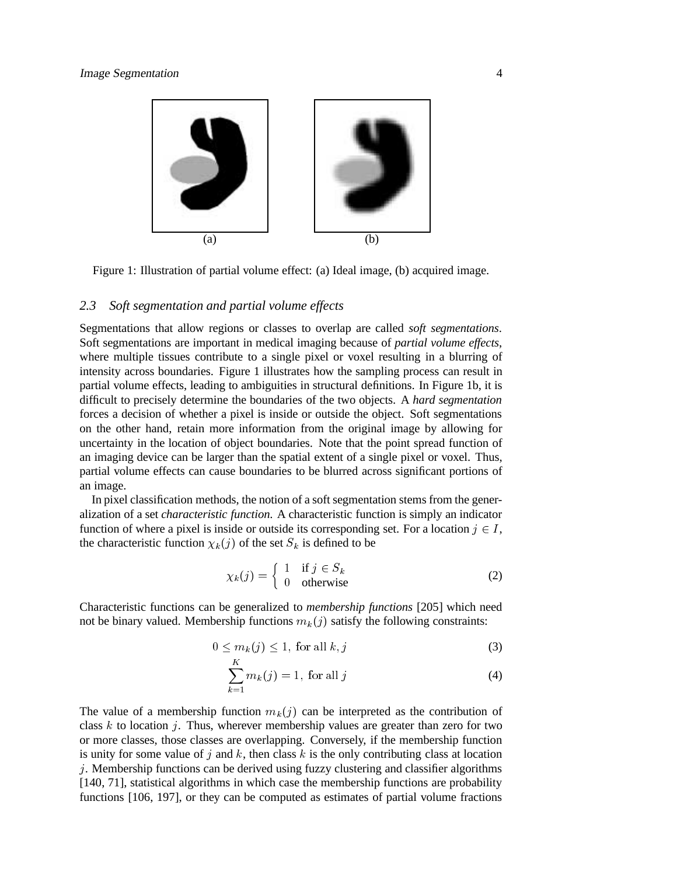

Figure 1: Illustration of partial volume effect: (a) Ideal image, (b) acquired image.

### *2.3 Soft segmentation and partial volume effects*

Segmentations that allow regions or classes to overlap are called *soft segmentations*. Soft segmentations are important in medical imaging because of *partial volume effects*, where multiple tissues contribute to a single pixel or voxel resulting in a blurring of intensity across boundaries. Figure 1 illustrates how the sampling process can result in partial volume effects, leading to ambiguities in structural definitions. In Figure 1b, it is difficult to precisely determine the boundaries of the two objects. A *hard segmentation* forces a decision of whether a pixel is inside or outside the object. Soft segmentations on the other hand, retain more information from the original image by allowing for uncertainty in the location of object boundaries. Note that the point spread function of an imaging device can be larger than the spatial extent of a single pixel or voxel. Thus, partial volume effects can cause boundaries to be blurred across significant portions of an image.

In pixel classification methods, the notion of a soft segmentation stems from the generalization of a set *characteristic function*. A characteristic function is simply an indicator function of where a pixel is inside or outside its corresponding set. For a location  $j \in I$ , the characteristic function  $\chi_k(j)$  of the set  $S_k$  is defined to be

$$
\chi_k(j) = \begin{cases} 1 & \text{if } j \in S_k \\ 0 & \text{otherwise} \end{cases}
$$
 (2)

Characteristic functions can be generalized to *membership functions* [205] which need not be binary valued. Membership functions  $m_k(j)$  satisfy the following constraints:

$$
0 \le m_k(j) \le 1, \text{ for all } k, j \tag{3}
$$

$$
\sum_{k=1}^{K} m_k(j) = 1, \text{ for all } j \tag{4}
$$

The value of a membership function  $m_k(j)$  can be interpreted as the contribution of class  $k$  to location  $j$ . Thus, wherever membership values are greater than zero for two or more classes, those classes are overlapping. Conversely, if the membership function is unity for some value of  $j$  and k, then class k is the only contributing class at location  $j$ . Membership functions can be derived using fuzzy clustering and classifier algorithms [140, 71], statistical algorithms in which case the membership functions are probability functions [106, 197], or they can be computed as estimates of partial volume fractions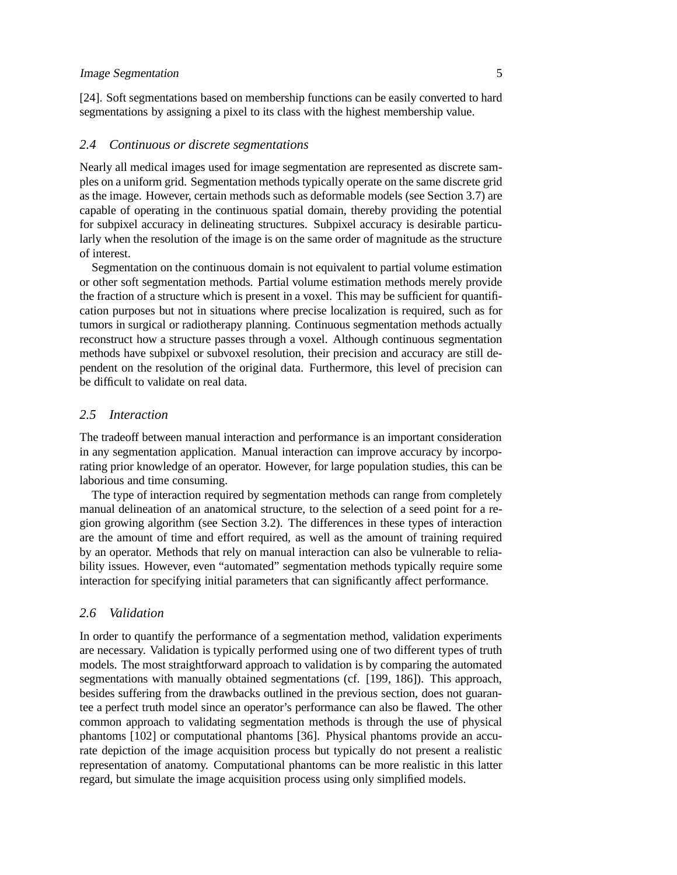[24]. Soft segmentations based on membership functions can be easily converted to hard segmentations by assigning a pixel to its class with the highest membership value.

## *2.4 Continuous or discrete segmentations*

Nearly all medical images used for image segmentation are represented as discrete samples on a uniform grid. Segmentation methods typically operate on the same discrete grid as the image. However, certain methods such as deformable models (see Section 3.7) are capable of operating in the continuous spatial domain, thereby providing the potential for subpixel accuracy in delineating structures. Subpixel accuracy is desirable particularly when the resolution of the image is on the same order of magnitude as the structure of interest.

Segmentation on the continuous domain is not equivalent to partial volume estimation or other soft segmentation methods. Partial volume estimation methods merely provide the fraction of a structure which is present in a voxel. This may be sufficient for quantification purposes but not in situations where precise localization is required, such as for tumors in surgical or radiotherapy planning. Continuous segmentation methods actually reconstruct how a structure passes through a voxel. Although continuous segmentation methods have subpixel or subvoxel resolution, their precision and accuracy are still dependent on the resolution of the original data. Furthermore, this level of precision can be difficult to validate on real data.

## *2.5 Interaction*

The tradeoff between manual interaction and performance is an important consideration in any segmentation application. Manual interaction can improve accuracy by incorporating prior knowledge of an operator. However, for large population studies, this can be laborious and time consuming.

The type of interaction required by segmentation methods can range from completely manual delineation of an anatomical structure, to the selection of a seed point for a region growing algorithm (see Section 3.2). The differences in these types of interaction are the amount of time and effort required, as well as the amount of training required by an operator. Methods that rely on manual interaction can also be vulnerable to reliability issues. However, even "automated" segmentation methods typically require some interaction for specifying initial parameters that can significantly affect performance.

## *2.6 Validation*

In order to quantify the performance of a segmentation method, validation experiments are necessary. Validation is typically performed using one of two different types of truth models. The most straightforward approach to validation is by comparing the automated segmentations with manually obtained segmentations (cf. [199, 186]). This approach, besides suffering from the drawbacks outlined in the previous section, does not guarantee a perfect truth model since an operator's performance can also be flawed. The other common approach to validating segmentation methods is through the use of physical phantoms [102] or computational phantoms [36]. Physical phantoms provide an accurate depiction of the image acquisition process but typically do not present a realistic representation of anatomy. Computational phantoms can be more realistic in this latter regard, but simulate the image acquisition process using only simplified models.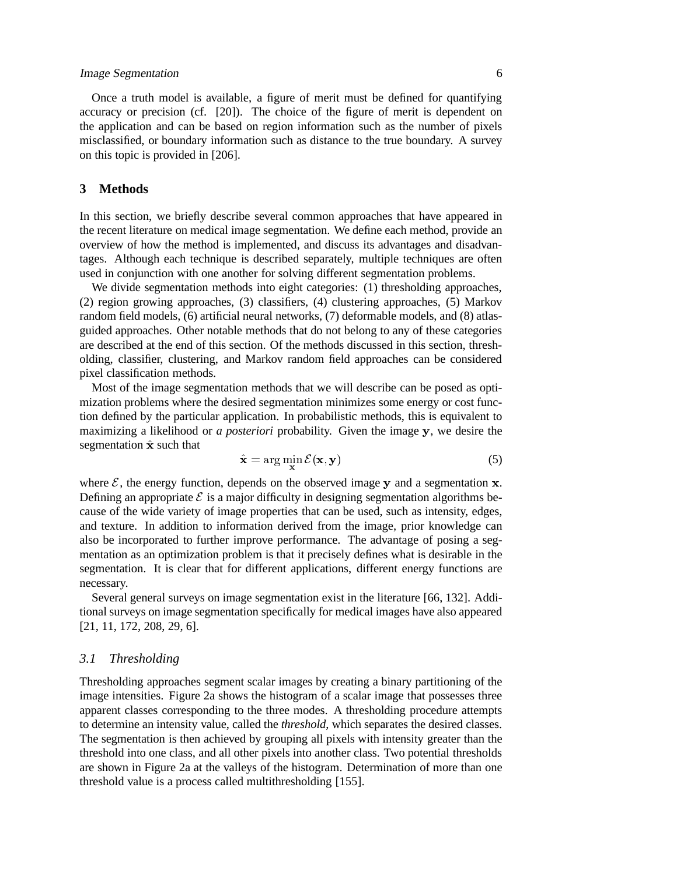Once a truth model is available, a figure of merit must be defined for quantifying accuracy or precision (cf. [20]). The choice of the figure of merit is dependent on the application and can be based on region information such as the number of pixels misclassified, or boundary information such as distance to the true boundary. A survey on this topic is provided in [206].

# **3 Methods**

In this section, we briefly describe several common approaches that have appeared in the recent literature on medical image segmentation. We define each method, provide an overview of how the method is implemented, and discuss its advantages and disadvantages. Although each technique is described separately, multiple techniques are often used in conjunction with one another for solving different segmentation problems.

We divide segmentation methods into eight categories: (1) thresholding approaches, (2) region growing approaches, (3) classifiers, (4) clustering approaches, (5) Markov random field models, (6) artificial neural networks, (7) deformable models, and (8) atlasguided approaches. Other notable methods that do not belong to any of these categories are described at the end of this section. Of the methods discussed in this section, thresholding, classifier, clustering, and Markov random field approaches can be considered pixel classification methods.

Most of the image segmentation methods that we will describe can be posed as optimization problems where the desired segmentation minimizes some energy or cost function defined by the particular application. In probabilistic methods, this is equivalent to maximizing a likelihood or *a posteriori* probability. Given the image <sup>y</sup>, we desire the segmentation  $\hat{\mathbf{x}}$  such that

$$
\hat{\mathbf{x}} = \arg\min_{\mathbf{x}} \mathcal{E}(\mathbf{x}, \mathbf{y})
$$
 (5)

where  $\mathcal{E}$ , the energy function, depends on the observed image y and a segmentation x. Defining an appropriate  $\mathcal E$  is a major difficulty in designing segmentation algorithms because of the wide variety of image properties that can be used, such as intensity, edges, and texture. In addition to information derived from the image, prior knowledge can also be incorporated to further improve performance. The advantage of posing a segmentation as an optimization problem is that it precisely defines what is desirable in the segmentation. It is clear that for different applications, different energy functions are necessary.

Several general surveys on image segmentation exist in the literature [66, 132]. Additional surveys on image segmentation specifically for medical images have also appeared [21, 11, 172, 208, 29, 6].

## *3.1 Thresholding*

Thresholding approaches segment scalar images by creating a binary partitioning of the image intensities. Figure 2a shows the histogram of a scalar image that possesses three apparent classes corresponding to the three modes. A thresholding procedure attempts to determine an intensity value, called the *threshold*, which separates the desired classes. The segmentation is then achieved by grouping all pixels with intensity greater than the threshold into one class, and all other pixels into another class. Two potential thresholds are shown in Figure 2a at the valleys of the histogram. Determination of more than one threshold value is a process called multithresholding [155].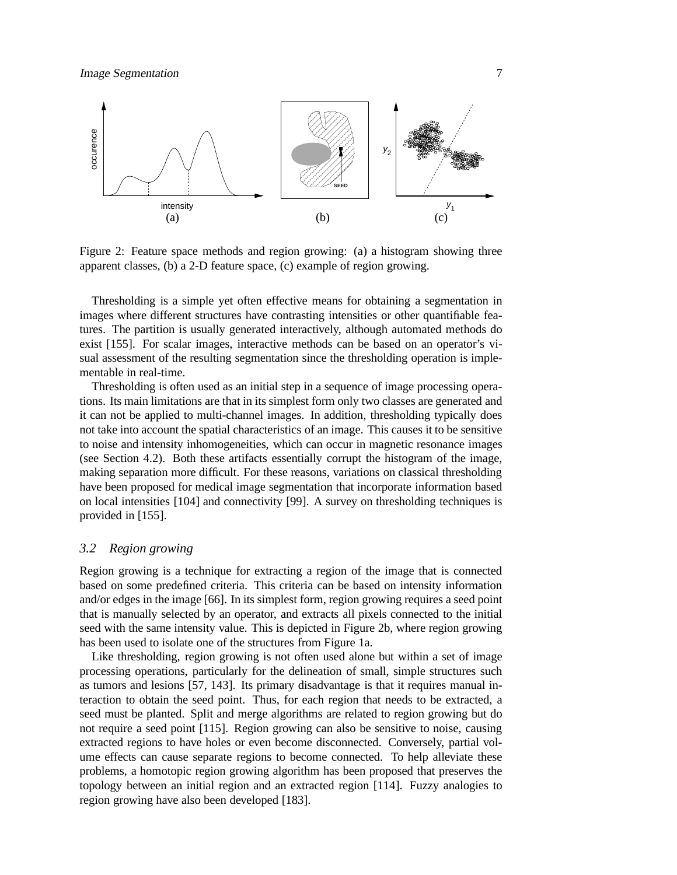

Figure 2: Feature space methods and region growing: (a) a histogram showing three apparent classes, (b) a 2-D feature space, (c) example of region growing.

Thresholding is a simple yet often effective means for obtaining a segmentation in images where different structures have contrasting intensities or other quantifiable features. The partition is usually generated interactively, although automated methods do exist [155]. For scalar images, interactive methods can be based on an operator's visual assessment of the resulting segmentation since the thresholding operation is implementable in real-time.

Thresholding is often used as an initial step in a sequence of image processing operations. Its main limitations are that in its simplest form only two classes are generated and it can not be applied to multi-channel images. In addition, thresholding typically does not take into account the spatial characteristics of an image. This causes it to be sensitive to noise and intensity inhomogeneities, which can occur in magnetic resonance images (see Section 4.2). Both these artifacts essentially corrupt the histogram of the image, making separation more difficult. For these reasons, variations on classical thresholding have been proposed for medical image segmentation that incorporate information based on local intensities [104] and connectivity [99]. A survey on thresholding techniques is provided in [155].

## *3.2 Region growing*

Region growing is a technique for extracting a region of the image that is connected based on some predefined criteria. This criteria can be based on intensity information and/or edges in the image [66]. In its simplest form, region growing requires a seed point that is manually selected by an operator, and extracts all pixels connected to the initial seed with the same intensity value. This is depicted in Figure 2b, where region growing has been used to isolate one of the structures from Figure 1a.

Like thresholding, region growing is not often used alone but within a set of image processing operations, particularly for the delineation of small, simple structures such as tumors and lesions [57, 143]. Its primary disadvantage is that it requires manual interaction to obtain the seed point. Thus, for each region that needs to be extracted, a seed must be planted. Split and merge algorithms are related to region growing but do not require a seed point [115]. Region growing can also be sensitive to noise, causing extracted regions to have holes or even become disconnected. Conversely, partial volume effects can cause separate regions to become connected. To help alleviate these problems, a homotopic region growing algorithm has been proposed that preserves the topology between an initial region and an extracted region [114]. Fuzzy analogies to region growing have also been developed [183].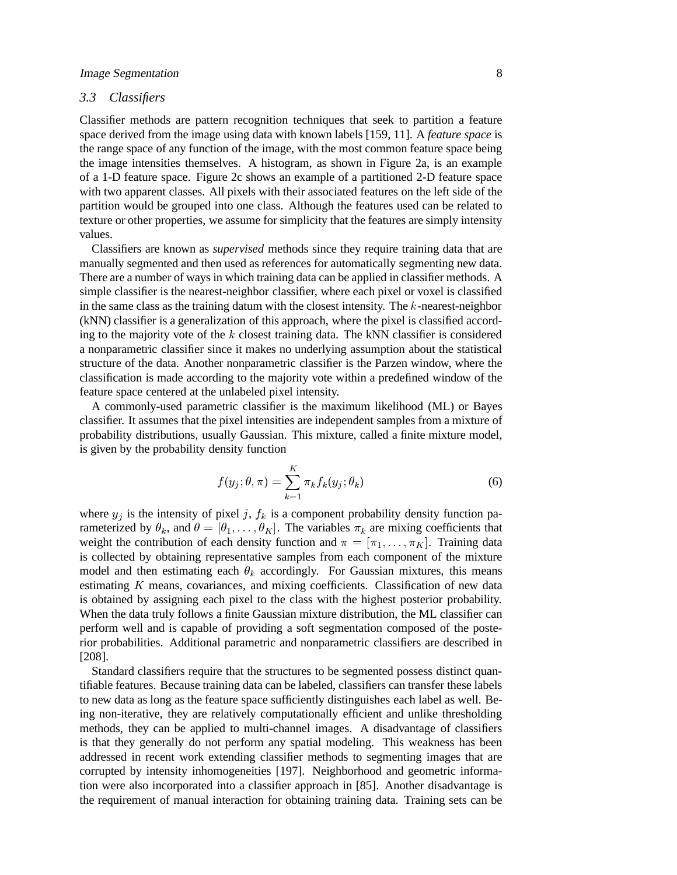# *3.3 Classifiers*

Classifier methods are pattern recognition techniques that seek to partition a feature space derived from the image using data with known labels [159, 11]. A *feature space* is the range space of any function of the image, with the most common feature space being the image intensities themselves. A histogram, as shown in Figure 2a, is an example of a 1-D feature space. Figure 2c shows an example of a partitioned 2-D feature space with two apparent classes. All pixels with their associated features on the left side of the partition would be grouped into one class. Although the features used can be related to texture or other properties, we assume for simplicity that the features are simply intensity values.

Classifiers are known as *supervised* methods since they require training data that are manually segmented and then used as references for automatically segmenting new data. There are a number of ways in which training data can be applied in classifier methods. A simple classifier is the nearest-neighbor classifier, where each pixel or voxel is classified in the same class as the training datum with the closest intensity. The <sup>k</sup>-nearest-neighbor (kNN) classifier is a generalization of this approach, where the pixel is classified according to the majority vote of the  $k$  closest training data. The kNN classifier is considered a nonparametric classifier since it makes no underlying assumption about the statistical structure of the data. Another nonparametric classifier is the Parzen window, where the classification is made according to the majority vote within a predefined window of the feature space centered at the unlabeled pixel intensity.

A commonly-used parametric classifier is the maximum likelihood (ML) or Bayes classifier. It assumes that the pixel intensities are independent samples from a mixture of probability distributions, usually Gaussian. This mixture, called a finite mixture model, is given by the probability density function

$$
f(y_j; \theta, \pi) = \sum_{k=1}^{K} \pi_k f_k(y_j; \theta_k)
$$
 (6)

where  $y_i$  is the intensity of pixel j,  $f_k$  is a component probability density function parameterized by  $\theta_k$ , and  $\theta = [\theta_1,\ldots,\theta_K]$ . The variables  $\pi_k$  are mixing coefficients that weight the contribution of each density function and  $\pi = [\pi_1, \ldots, \pi_K]$ . Training data is collected by obtaining representative samples from each component of the mixture model and then estimating each  $\theta_k$  accordingly. For Gaussian mixtures, this means estimating  $K$  means, covariances, and mixing coefficients. Classification of new data is obtained by assigning each pixel to the class with the highest posterior probability. When the data truly follows a finite Gaussian mixture distribution, the ML classifier can perform well and is capable of providing a soft segmentation composed of the posterior probabilities. Additional parametric and nonparametric classifiers are described in [208].

Standard classifiers require that the structures to be segmented possess distinct quantifiable features. Because training data can be labeled, classifiers can transfer these labels to new data as long as the feature space sufficiently distinguishes each label as well. Being non-iterative, they are relatively computationally efficient and unlike thresholding methods, they can be applied to multi-channel images. A disadvantage of classifiers is that they generally do not perform any spatial modeling. This weakness has been addressed in recent work extending classifier methods to segmenting images that are corrupted by intensity inhomogeneities [197]. Neighborhood and geometric information were also incorporated into a classifier approach in [85]. Another disadvantage is the requirement of manual interaction for obtaining training data. Training sets can be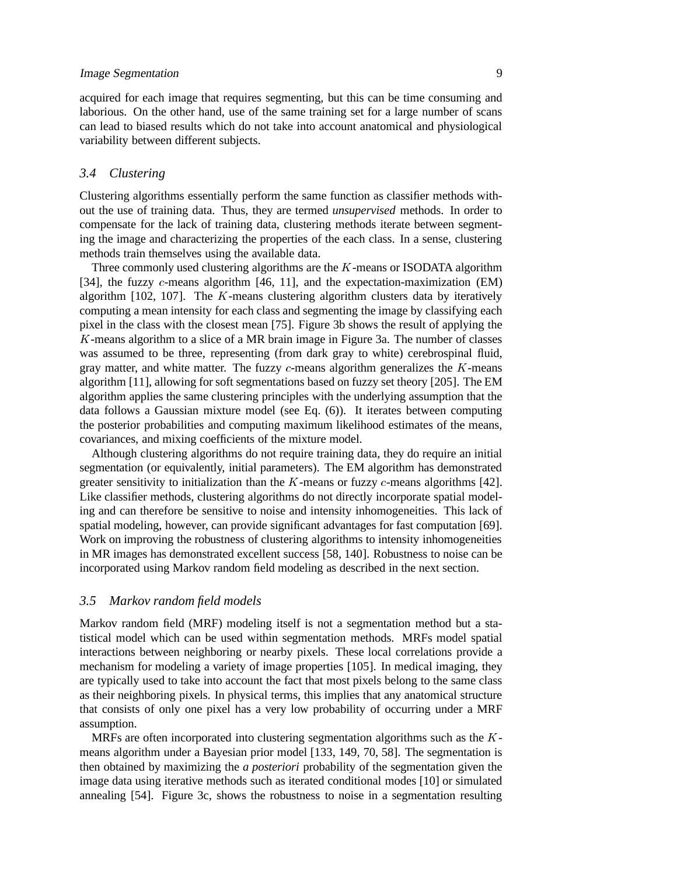acquired for each image that requires segmenting, but this can be time consuming and laborious. On the other hand, use of the same training set for a large number of scans can lead to biased results which do not take into account anatomical and physiological variability between different subjects.

## *3.4 Clustering*

Clustering algorithms essentially perform the same function as classifier methods without the use of training data. Thus, they are termed *unsupervised* methods. In order to compensate for the lack of training data, clustering methods iterate between segmenting the image and characterizing the properties of the each class. In a sense, clustering methods train themselves using the available data.

Three commonly used clustering algorithms are the <sup>K</sup>-means or ISODATA algorithm [34], the fuzzy c-means algorithm [46, 11], and the expectation-maximization (EM) algorithm  $[102, 107]$ . The K-means clustering algorithm clusters data by iteratively computing a mean intensity for each class and segmenting the image by classifying each pixel in the class with the closest mean [75]. Figure 3b shows the result of applying the <sup>K</sup>-means algorithm to a slice of a MR brain image in Figure 3a. The number of classes was assumed to be three, representing (from dark gray to white) cerebrospinal fluid, gray matter, and white matter. The fuzzy  $c$ -means algorithm generalizes the  $K$ -means algorithm [11], allowing for soft segmentations based on fuzzy set theory [205]. The EM algorithm applies the same clustering principles with the underlying assumption that the data follows a Gaussian mixture model (see Eq. (6)). It iterates between computing the posterior probabilities and computing maximum likelihood estimates of the means, covariances, and mixing coefficients of the mixture model.

Although clustering algorithms do not require training data, they do require an initial segmentation (or equivalently, initial parameters). The EM algorithm has demonstrated greater sensitivity to initialization than the  $K$ -means or fuzzy  $c$ -means algorithms [42]. Like classifier methods, clustering algorithms do not directly incorporate spatial modeling and can therefore be sensitive to noise and intensity inhomogeneities. This lack of spatial modeling, however, can provide significant advantages for fast computation [69]. Work on improving the robustness of clustering algorithms to intensity inhomogeneities in MR images has demonstrated excellent success [58, 140]. Robustness to noise can be incorporated using Markov random field modeling as described in the next section.

## *3.5 Markov random field models*

Markov random field (MRF) modeling itself is not a segmentation method but a statistical model which can be used within segmentation methods. MRFs model spatial interactions between neighboring or nearby pixels. These local correlations provide a mechanism for modeling a variety of image properties [105]. In medical imaging, they are typically used to take into account the fact that most pixels belong to the same class as their neighboring pixels. In physical terms, this implies that any anatomical structure that consists of only one pixel has a very low probability of occurring under a MRF assumption.

MRFs are often incorporated into clustering segmentation algorithms such as the <sup>K</sup>means algorithm under a Bayesian prior model [133, 149, 70, 58]. The segmentation is then obtained by maximizing the *a posteriori* probability of the segmentation given the image data using iterative methods such as iterated conditional modes [10] or simulated annealing [54]. Figure 3c, shows the robustness to noise in a segmentation resulting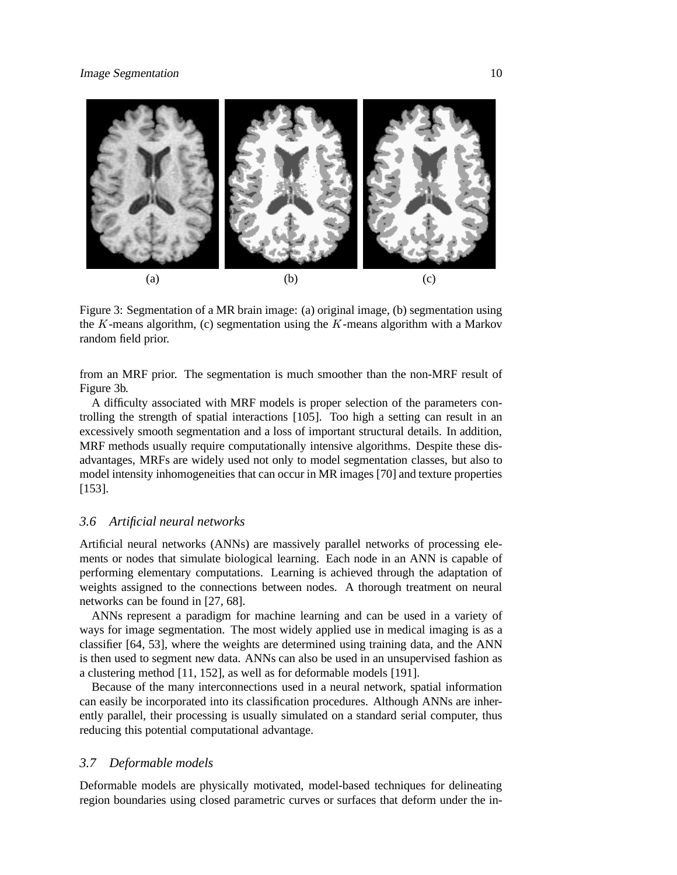

Figure 3: Segmentation of a MR brain image: (a) original image, (b) segmentation using the K-means algorithm, (c) segmentation using the K-means algorithm with a Markov random field prior.

from an MRF prior. The segmentation is much smoother than the non-MRF result of Figure 3b.

A difficulty associated with MRF models is proper selection of the parameters controlling the strength of spatial interactions [105]. Too high a setting can result in an excessively smooth segmentation and a loss of important structural details. In addition, MRF methods usually require computationally intensive algorithms. Despite these disadvantages, MRFs are widely used not only to model segmentation classes, but also to model intensity inhomogeneities that can occur in MR images [70] and texture properties [153].

## *3.6 Artificial neural networks*

Artificial neural networks (ANNs) are massively parallel networks of processing elements or nodes that simulate biological learning. Each node in an ANN is capable of performing elementary computations. Learning is achieved through the adaptation of weights assigned to the connections between nodes. A thorough treatment on neural networks can be found in [27, 68].

ANNs represent a paradigm for machine learning and can be used in a variety of ways for image segmentation. The most widely applied use in medical imaging is as a classifier [64, 53], where the weights are determined using training data, and the ANN is then used to segment new data. ANNs can also be used in an unsupervised fashion as a clustering method [11, 152], as well as for deformable models [191].

Because of the many interconnections used in a neural network, spatial information can easily be incorporated into its classification procedures. Although ANNs are inherently parallel, their processing is usually simulated on a standard serial computer, thus reducing this potential computational advantage.

#### *3.7 Deformable models*

Deformable models are physically motivated, model-based techniques for delineating region boundaries using closed parametric curves or surfaces that deform under the in-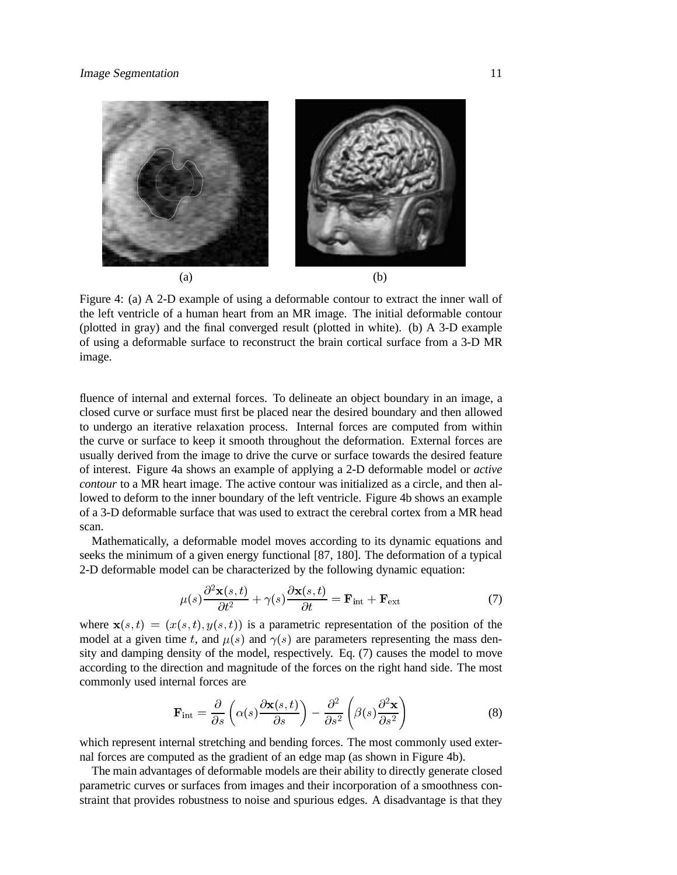

Figure 4: (a) A 2-D example of using a deformable contour to extract the inner wall of the left ventricle of a human heart from an MR image. The initial deformable contour (plotted in gray) and the final converged result (plotted in white). (b) A 3-D example of using a deformable surface to reconstruct the brain cortical surface from a 3-D MR image.

fluence of internal and external forces. To delineate an object boundary in an image, a closed curve or surface must first be placed near the desired boundary and then allowed to undergo an iterative relaxation process. Internal forces are computed from within the curve or surface to keep it smooth throughout the deformation. External forces are usually derived from the image to drive the curve or surface towards the desired feature of interest. Figure 4a shows an example of applying a 2-D deformable model or *active contour* to a MR heart image. The active contour was initialized as a circle, and then allowed to deform to the inner boundary of the left ventricle. Figure 4b shows an example of a 3-D deformable surface that was used to extract the cerebral cortex from a MR head scan.

Mathematically, a deformable model moves according to its dynamic equations and seeks the minimum of a given energy functional [87, 180]. The deformation of a typical 2-D deformable model can be characterized by the following dynamic equation:

$$
\mu(s)\frac{\partial^2 \mathbf{x}(s,t)}{\partial t^2} + \gamma(s)\frac{\partial \mathbf{x}(s,t)}{\partial t} = \mathbf{F}_{\text{int}} + \mathbf{F}_{\text{ext}}
$$
(7)

where  $\mathbf{x}(s,t) = (x(s,t), y(s,t))$  is a parametric representation of the position of the model at a given time t, and  $\mu(s)$  and  $\gamma(s)$  are parameters representing the mass density and damping density of the model, respectively. Eq. (7) causes the model to move according to the direction and magnitude of the forces on the right hand side. The most commonly used internal forces are

$$
\mathbf{F}_{\rm int} = \frac{\partial}{\partial s} \left( \alpha(s) \frac{\partial \mathbf{x}(s, t)}{\partial s} \right) - \frac{\partial^2}{\partial s^2} \left( \beta(s) \frac{\partial^2 \mathbf{x}}{\partial s^2} \right)
$$
(8)

which represent internal stretching and bending forces. The most commonly used external forces are computed as the gradient of an edge map (as shown in Figure 4b).

The main advantages of deformable models are their ability to directly generate closed parametric curves or surfaces from images and their incorporation of a smoothness constraint that provides robustness to noise and spurious edges. A disadvantage is that they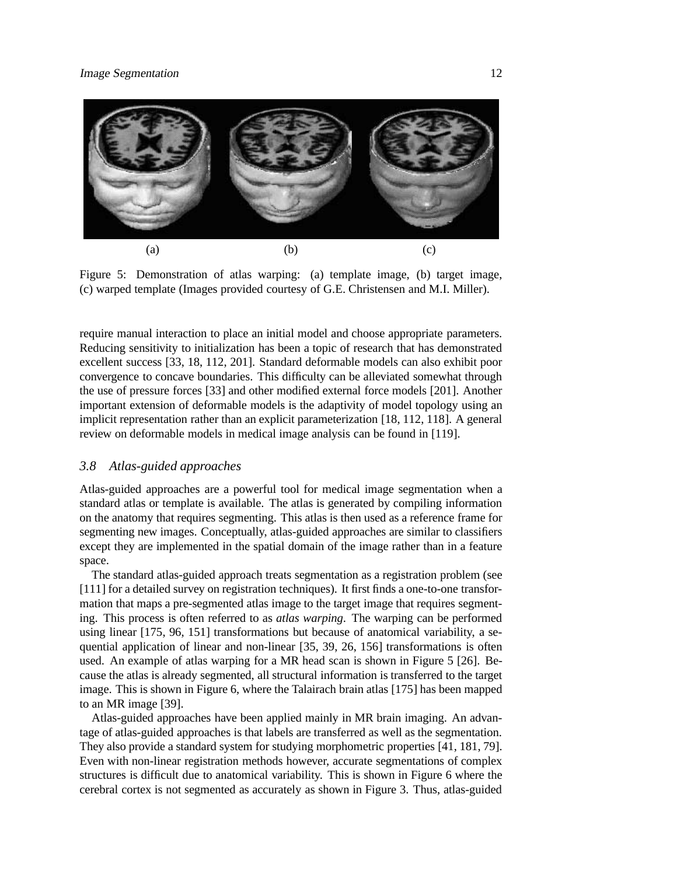

Figure 5: Demonstration of atlas warping: (a) template image, (b) target image, (c) warped template (Images provided courtesy of G.E. Christensen and M.I. Miller).

require manual interaction to place an initial model and choose appropriate parameters. Reducing sensitivity to initialization has been a topic of research that has demonstrated excellent success [33, 18, 112, 201]. Standard deformable models can also exhibit poor convergence to concave boundaries. This difficulty can be alleviated somewhat through the use of pressure forces [33] and other modified external force models [201]. Another important extension of deformable models is the adaptivity of model topology using an implicit representation rather than an explicit parameterization [18, 112, 118]. A general review on deformable models in medical image analysis can be found in [119].

## *3.8 Atlas-guided approaches*

Atlas-guided approaches are a powerful tool for medical image segmentation when a standard atlas or template is available. The atlas is generated by compiling information on the anatomy that requires segmenting. This atlas is then used as a reference frame for segmenting new images. Conceptually, atlas-guided approaches are similar to classifiers except they are implemented in the spatial domain of the image rather than in a feature space.

The standard atlas-guided approach treats segmentation as a registration problem (see [111] for a detailed survey on registration techniques). It first finds a one-to-one transformation that maps a pre-segmented atlas image to the target image that requires segmenting. This process is often referred to as *atlas warping*. The warping can be performed using linear [175, 96, 151] transformations but because of anatomical variability, a sequential application of linear and non-linear [35, 39, 26, 156] transformations is often used. An example of atlas warping for a MR head scan is shown in Figure 5 [26]. Because the atlas is already segmented, all structural information is transferred to the target image. This is shown in Figure 6, where the Talairach brain atlas [175] has been mapped to an MR image [39].

Atlas-guided approaches have been applied mainly in MR brain imaging. An advantage of atlas-guided approaches is that labels are transferred as well as the segmentation. They also provide a standard system for studying morphometric properties [41, 181, 79]. Even with non-linear registration methods however, accurate segmentations of complex structures is difficult due to anatomical variability. This is shown in Figure 6 where the cerebral cortex is not segmented as accurately as shown in Figure 3. Thus, atlas-guided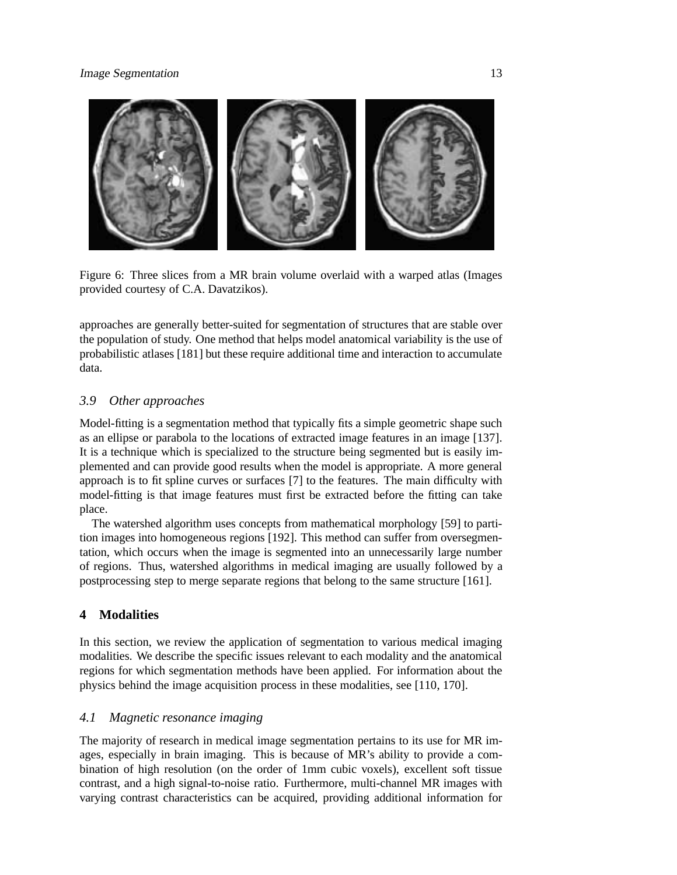

Figure 6: Three slices from a MR brain volume overlaid with a warped atlas (Images provided courtesy of C.A. Davatzikos).

approaches are generally better-suited for segmentation of structures that are stable over the population of study. One method that helps model anatomical variability is the use of probabilistic atlases [181] but these require additional time and interaction to accumulate data.

# *3.9 Other approaches*

Model-fitting is a segmentation method that typically fits a simple geometric shape such as an ellipse or parabola to the locations of extracted image features in an image [137]. It is a technique which is specialized to the structure being segmented but is easily implemented and can provide good results when the model is appropriate. A more general approach is to fit spline curves or surfaces [7] to the features. The main difficulty with model-fitting is that image features must first be extracted before the fitting can take place.

The watershed algorithm uses concepts from mathematical morphology [59] to partition images into homogeneous regions [192]. This method can suffer from oversegmentation, which occurs when the image is segmented into an unnecessarily large number of regions. Thus, watershed algorithms in medical imaging are usually followed by a postprocessing step to merge separate regions that belong to the same structure [161].

# **4 Modalities**

In this section, we review the application of segmentation to various medical imaging modalities. We describe the specific issues relevant to each modality and the anatomical regions for which segmentation methods have been applied. For information about the physics behind the image acquisition process in these modalities, see [110, 170].

## *4.1 Magnetic resonance imaging*

The majority of research in medical image segmentation pertains to its use for MR images, especially in brain imaging. This is because of MR's ability to provide a combination of high resolution (on the order of 1mm cubic voxels), excellent soft tissue contrast, and a high signal-to-noise ratio. Furthermore, multi-channel MR images with varying contrast characteristics can be acquired, providing additional information for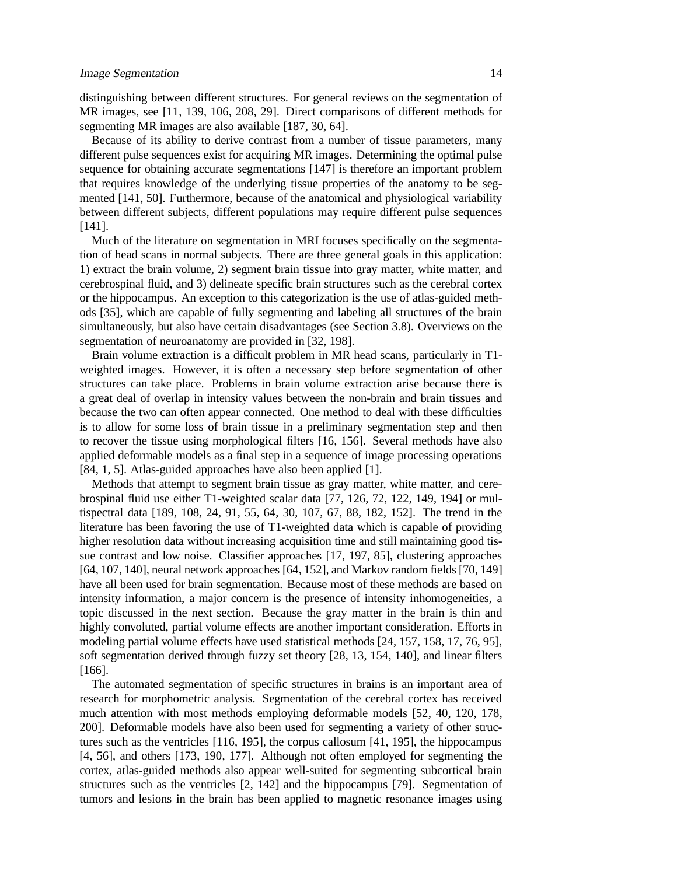distinguishing between different structures. For general reviews on the segmentation of MR images, see [11, 139, 106, 208, 29]. Direct comparisons of different methods for segmenting MR images are also available [187, 30, 64].

Because of its ability to derive contrast from a number of tissue parameters, many different pulse sequences exist for acquiring MR images. Determining the optimal pulse sequence for obtaining accurate segmentations [147] is therefore an important problem that requires knowledge of the underlying tissue properties of the anatomy to be segmented [141, 50]. Furthermore, because of the anatomical and physiological variability between different subjects, different populations may require different pulse sequences [141].

Much of the literature on segmentation in MRI focuses specifically on the segmentation of head scans in normal subjects. There are three general goals in this application: 1) extract the brain volume, 2) segment brain tissue into gray matter, white matter, and cerebrospinal fluid, and 3) delineate specific brain structures such as the cerebral cortex or the hippocampus. An exception to this categorization is the use of atlas-guided methods [35], which are capable of fully segmenting and labeling all structures of the brain simultaneously, but also have certain disadvantages (see Section 3.8). Overviews on the segmentation of neuroanatomy are provided in [32, 198].

Brain volume extraction is a difficult problem in MR head scans, particularly in T1 weighted images. However, it is often a necessary step before segmentation of other structures can take place. Problems in brain volume extraction arise because there is a great deal of overlap in intensity values between the non-brain and brain tissues and because the two can often appear connected. One method to deal with these difficulties is to allow for some loss of brain tissue in a preliminary segmentation step and then to recover the tissue using morphological filters [16, 156]. Several methods have also applied deformable models as a final step in a sequence of image processing operations [84, 1, 5]. Atlas-guided approaches have also been applied [1].

Methods that attempt to segment brain tissue as gray matter, white matter, and cerebrospinal fluid use either T1-weighted scalar data [77, 126, 72, 122, 149, 194] or multispectral data [189, 108, 24, 91, 55, 64, 30, 107, 67, 88, 182, 152]. The trend in the literature has been favoring the use of T1-weighted data which is capable of providing higher resolution data without increasing acquisition time and still maintaining good tissue contrast and low noise. Classifier approaches [17, 197, 85], clustering approaches [64, 107, 140], neural network approaches [64, 152], and Markov random fields [70, 149] have all been used for brain segmentation. Because most of these methods are based on intensity information, a major concern is the presence of intensity inhomogeneities, a topic discussed in the next section. Because the gray matter in the brain is thin and highly convoluted, partial volume effects are another important consideration. Efforts in modeling partial volume effects have used statistical methods [24, 157, 158, 17, 76, 95], soft segmentation derived through fuzzy set theory [28, 13, 154, 140], and linear filters [166].

The automated segmentation of specific structures in brains is an important area of research for morphometric analysis. Segmentation of the cerebral cortex has received much attention with most methods employing deformable models [52, 40, 120, 178, 200]. Deformable models have also been used for segmenting a variety of other structures such as the ventricles [116, 195], the corpus callosum [41, 195], the hippocampus [4, 56], and others [173, 190, 177]. Although not often employed for segmenting the cortex, atlas-guided methods also appear well-suited for segmenting subcortical brain structures such as the ventricles [2, 142] and the hippocampus [79]. Segmentation of tumors and lesions in the brain has been applied to magnetic resonance images using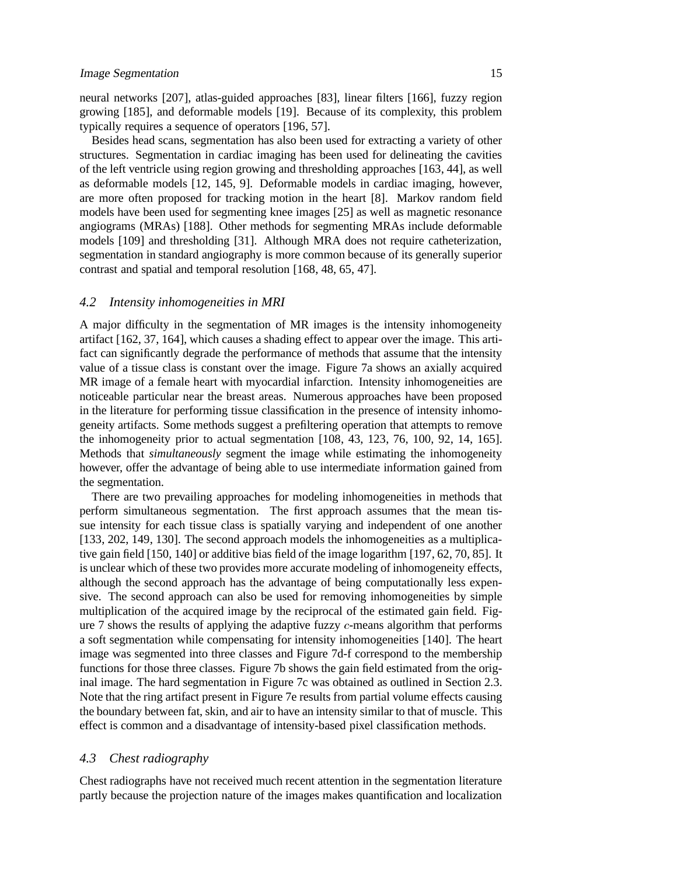neural networks [207], atlas-guided approaches [83], linear filters [166], fuzzy region growing [185], and deformable models [19]. Because of its complexity, this problem typically requires a sequence of operators [196, 57].

Besides head scans, segmentation has also been used for extracting a variety of other structures. Segmentation in cardiac imaging has been used for delineating the cavities of the left ventricle using region growing and thresholding approaches [163, 44], as well as deformable models [12, 145, 9]. Deformable models in cardiac imaging, however, are more often proposed for tracking motion in the heart [8]. Markov random field models have been used for segmenting knee images [25] as well as magnetic resonance angiograms (MRAs) [188]. Other methods for segmenting MRAs include deformable models [109] and thresholding [31]. Although MRA does not require catheterization, segmentation in standard angiography is more common because of its generally superior contrast and spatial and temporal resolution [168, 48, 65, 47].

#### *4.2 Intensity inhomogeneities in MRI*

A major difficulty in the segmentation of MR images is the intensity inhomogeneity artifact [162, 37, 164], which causes a shading effect to appear over the image. This artifact can significantly degrade the performance of methods that assume that the intensity value of a tissue class is constant over the image. Figure 7a shows an axially acquired MR image of a female heart with myocardial infarction. Intensity inhomogeneities are noticeable particular near the breast areas. Numerous approaches have been proposed in the literature for performing tissue classification in the presence of intensity inhomogeneity artifacts. Some methods suggest a prefiltering operation that attempts to remove the inhomogeneity prior to actual segmentation [108, 43, 123, 76, 100, 92, 14, 165]. Methods that *simultaneously* segment the image while estimating the inhomogeneity however, offer the advantage of being able to use intermediate information gained from the segmentation.

There are two prevailing approaches for modeling inhomogeneities in methods that perform simultaneous segmentation. The first approach assumes that the mean tissue intensity for each tissue class is spatially varying and independent of one another [133, 202, 149, 130]. The second approach models the inhomogeneities as a multiplicative gain field [150, 140] or additive bias field of the image logarithm [197, 62, 70, 85]. It is unclear which of these two provides more accurate modeling of inhomogeneity effects, although the second approach has the advantage of being computationally less expensive. The second approach can also be used for removing inhomogeneities by simple multiplication of the acquired image by the reciprocal of the estimated gain field. Figure 7 shows the results of applying the adaptive fuzzy <sup>c</sup>-means algorithm that performs a soft segmentation while compensating for intensity inhomogeneities [140]. The heart image was segmented into three classes and Figure 7d-f correspond to the membership functions for those three classes. Figure 7b shows the gain field estimated from the original image. The hard segmentation in Figure 7c was obtained as outlined in Section 2.3. Note that the ring artifact present in Figure 7e results from partial volume effects causing the boundary between fat, skin, and air to have an intensity similar to that of muscle. This effect is common and a disadvantage of intensity-based pixel classification methods.

#### *4.3 Chest radiography*

Chest radiographs have not received much recent attention in the segmentation literature partly because the projection nature of the images makes quantification and localization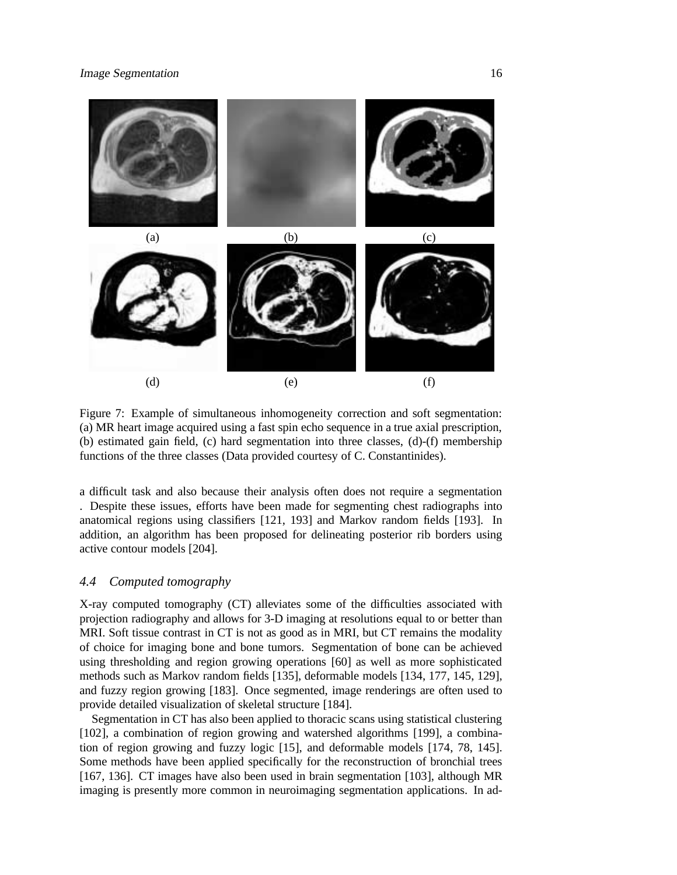

Figure 7: Example of simultaneous inhomogeneity correction and soft segmentation: (a) MR heart image acquired using a fast spin echo sequence in a true axial prescription, (b) estimated gain field, (c) hard segmentation into three classes, (d)-(f) membership functions of the three classes (Data provided courtesy of C. Constantinides).

a difficult task and also because their analysis often does not require a segmentation . Despite these issues, efforts have been made for segmenting chest radiographs into anatomical regions using classifiers [121, 193] and Markov random fields [193]. In addition, an algorithm has been proposed for delineating posterior rib borders using active contour models [204].

## *4.4 Computed tomography*

X-ray computed tomography (CT) alleviates some of the difficulties associated with projection radiography and allows for 3-D imaging at resolutions equal to or better than MRI. Soft tissue contrast in CT is not as good as in MRI, but CT remains the modality of choice for imaging bone and bone tumors. Segmentation of bone can be achieved using thresholding and region growing operations [60] as well as more sophisticated methods such as Markov random fields [135], deformable models [134, 177, 145, 129], and fuzzy region growing [183]. Once segmented, image renderings are often used to provide detailed visualization of skeletal structure [184].

Segmentation in CT has also been applied to thoracic scans using statistical clustering [102], a combination of region growing and watershed algorithms [199], a combination of region growing and fuzzy logic [15], and deformable models [174, 78, 145]. Some methods have been applied specifically for the reconstruction of bronchial trees [167, 136]. CT images have also been used in brain segmentation [103], although MR imaging is presently more common in neuroimaging segmentation applications. In ad-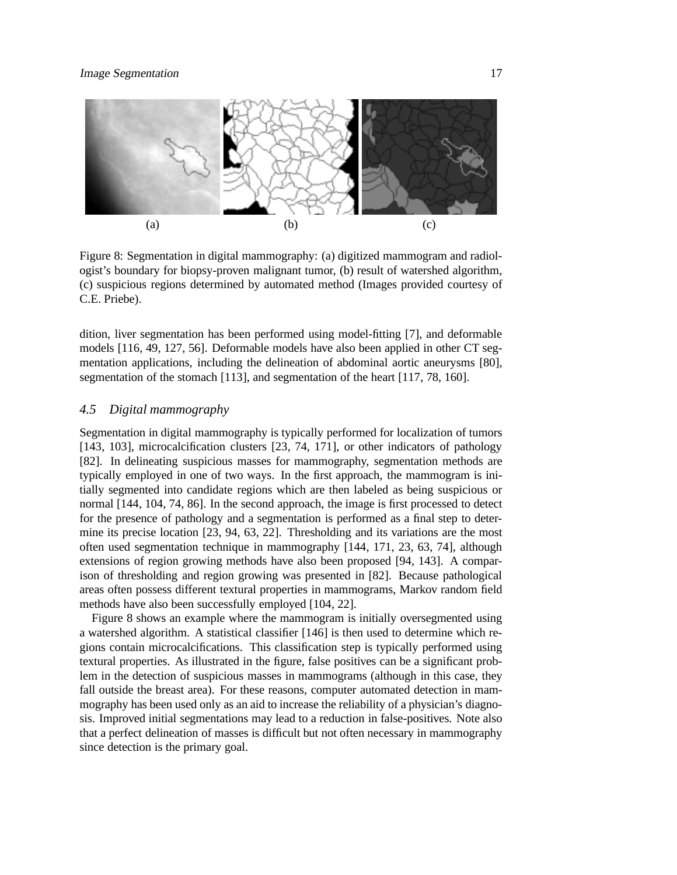

Figure 8: Segmentation in digital mammography: (a) digitized mammogram and radiologist's boundary for biopsy-proven malignant tumor, (b) result of watershed algorithm, (c) suspicious regions determined by automated method (Images provided courtesy of C.E. Priebe).

dition, liver segmentation has been performed using model-fitting [7], and deformable models [116, 49, 127, 56]. Deformable models have also been applied in other CT segmentation applications, including the delineation of abdominal aortic aneurysms [80], segmentation of the stomach [113], and segmentation of the heart [117, 78, 160].

## *4.5 Digital mammography*

Segmentation in digital mammography is typically performed for localization of tumors [143, 103], microcalcification clusters [23, 74, 171], or other indicators of pathology [82]. In delineating suspicious masses for mammography, segmentation methods are typically employed in one of two ways. In the first approach, the mammogram is initially segmented into candidate regions which are then labeled as being suspicious or normal [144, 104, 74, 86]. In the second approach, the image is first processed to detect for the presence of pathology and a segmentation is performed as a final step to determine its precise location [23, 94, 63, 22]. Thresholding and its variations are the most often used segmentation technique in mammography [144, 171, 23, 63, 74], although extensions of region growing methods have also been proposed [94, 143]. A comparison of thresholding and region growing was presented in [82]. Because pathological areas often possess different textural properties in mammograms, Markov random field methods have also been successfully employed [104, 22].

Figure 8 shows an example where the mammogram is initially oversegmented using a watershed algorithm. A statistical classifier [146] is then used to determine which regions contain microcalcifications. This classification step is typically performed using textural properties. As illustrated in the figure, false positives can be a significant problem in the detection of suspicious masses in mammograms (although in this case, they fall outside the breast area). For these reasons, computer automated detection in mammography has been used only as an aid to increase the reliability of a physician's diagnosis. Improved initial segmentations may lead to a reduction in false-positives. Note also that a perfect delineation of masses is difficult but not often necessary in mammography since detection is the primary goal.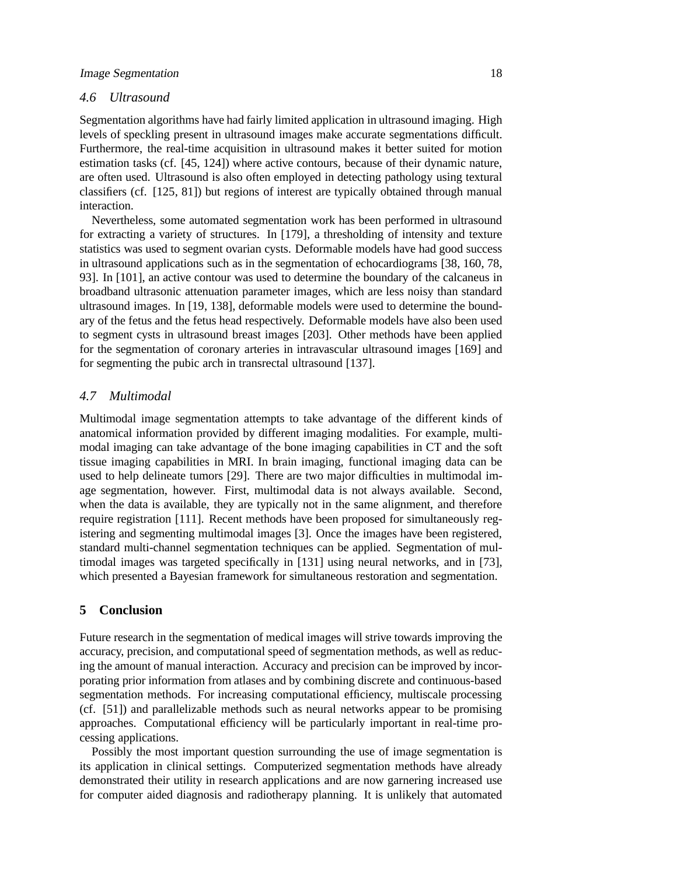# *4.6 Ultrasound*

Segmentation algorithms have had fairly limited application in ultrasound imaging. High levels of speckling present in ultrasound images make accurate segmentations difficult. Furthermore, the real-time acquisition in ultrasound makes it better suited for motion estimation tasks (cf. [45, 124]) where active contours, because of their dynamic nature, are often used. Ultrasound is also often employed in detecting pathology using textural classifiers (cf. [125, 81]) but regions of interest are typically obtained through manual interaction.

Nevertheless, some automated segmentation work has been performed in ultrasound for extracting a variety of structures. In [179], a thresholding of intensity and texture statistics was used to segment ovarian cysts. Deformable models have had good success in ultrasound applications such as in the segmentation of echocardiograms [38, 160, 78, 93]. In [101], an active contour was used to determine the boundary of the calcaneus in broadband ultrasonic attenuation parameter images, which are less noisy than standard ultrasound images. In [19, 138], deformable models were used to determine the boundary of the fetus and the fetus head respectively. Deformable models have also been used to segment cysts in ultrasound breast images [203]. Other methods have been applied for the segmentation of coronary arteries in intravascular ultrasound images [169] and for segmenting the pubic arch in transrectal ultrasound [137].

## *4.7 Multimodal*

Multimodal image segmentation attempts to take advantage of the different kinds of anatomical information provided by different imaging modalities. For example, multimodal imaging can take advantage of the bone imaging capabilities in CT and the soft tissue imaging capabilities in MRI. In brain imaging, functional imaging data can be used to help delineate tumors [29]. There are two major difficulties in multimodal image segmentation, however. First, multimodal data is not always available. Second, when the data is available, they are typically not in the same alignment, and therefore require registration [111]. Recent methods have been proposed for simultaneously registering and segmenting multimodal images [3]. Once the images have been registered, standard multi-channel segmentation techniques can be applied. Segmentation of multimodal images was targeted specifically in [131] using neural networks, and in [73], which presented a Bayesian framework for simultaneous restoration and segmentation.

# **5 Conclusion**

Future research in the segmentation of medical images will strive towards improving the accuracy, precision, and computational speed of segmentation methods, as well as reducing the amount of manual interaction. Accuracy and precision can be improved by incorporating prior information from atlases and by combining discrete and continuous-based segmentation methods. For increasing computational efficiency, multiscale processing (cf. [51]) and parallelizable methods such as neural networks appear to be promising approaches. Computational efficiency will be particularly important in real-time processing applications.

Possibly the most important question surrounding the use of image segmentation is its application in clinical settings. Computerized segmentation methods have already demonstrated their utility in research applications and are now garnering increased use for computer aided diagnosis and radiotherapy planning. It is unlikely that automated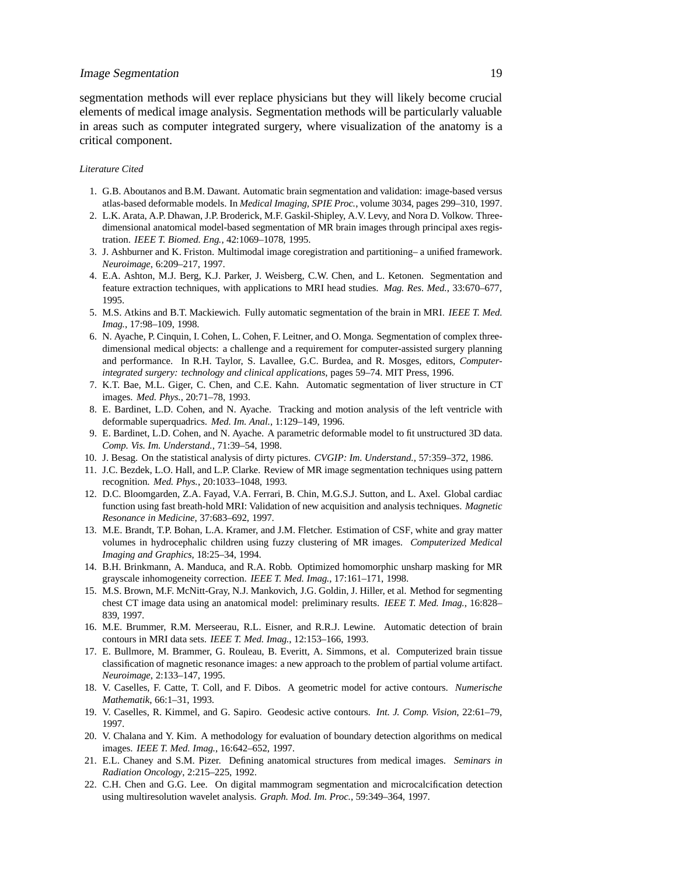segmentation methods will ever replace physicians but they will likely become crucial elements of medical image analysis. Segmentation methods will be particularly valuable in areas such as computer integrated surgery, where visualization of the anatomy is a critical component.

#### *Literature Cited*

- 1. G.B. Aboutanos and B.M. Dawant. Automatic brain segmentation and validation: image-based versus atlas-based deformable models. In *Medical Imaging, SPIE Proc.*, volume 3034, pages 299–310, 1997.
- 2. L.K. Arata, A.P. Dhawan, J.P. Broderick, M.F. Gaskil-Shipley, A.V. Levy, and Nora D. Volkow. Threedimensional anatomical model-based segmentation of MR brain images through principal axes registration. *IEEE T. Biomed. Eng.*, 42:1069–1078, 1995.
- 3. J. Ashburner and K. Friston. Multimodal image coregistration and partitioning– a unified framework. *Neuroimage*, 6:209–217, 1997.
- 4. E.A. Ashton, M.J. Berg, K.J. Parker, J. Weisberg, C.W. Chen, and L. Ketonen. Segmentation and feature extraction techniques, with applications to MRI head studies. *Mag. Res. Med.*, 33:670–677, 1995.
- 5. M.S. Atkins and B.T. Mackiewich. Fully automatic segmentation of the brain in MRI. *IEEE T. Med. Imag.*, 17:98–109, 1998.
- 6. N. Ayache, P. Cinquin, I. Cohen, L. Cohen, F. Leitner, and O. Monga. Segmentation of complex threedimensional medical objects: a challenge and a requirement for computer-assisted surgery planning and performance. In R.H. Taylor, S. Lavallee, G.C. Burdea, and R. Mosges, editors, *Computerintegrated surgery: technology and clinical applications*, pages 59–74. MIT Press, 1996.
- 7. K.T. Bae, M.L. Giger, C. Chen, and C.E. Kahn. Automatic segmentation of liver structure in CT images. *Med. Phys.*, 20:71–78, 1993.
- 8. E. Bardinet, L.D. Cohen, and N. Ayache. Tracking and motion analysis of the left ventricle with deformable superquadrics. *Med. Im. Anal.*, 1:129–149, 1996.
- 9. E. Bardinet, L.D. Cohen, and N. Ayache. A parametric deformable model to fit unstructured 3D data. *Comp. Vis. Im. Understand.*, 71:39–54, 1998.
- 10. J. Besag. On the statistical analysis of dirty pictures. *CVGIP: Im. Understand.*, 57:359–372, 1986.
- 11. J.C. Bezdek, L.O. Hall, and L.P. Clarke. Review of MR image segmentation techniques using pattern recognition. *Med. Phys.*, 20:1033–1048, 1993.
- 12. D.C. Bloomgarden, Z.A. Fayad, V.A. Ferrari, B. Chin, M.G.S.J. Sutton, and L. Axel. Global cardiac function using fast breath-hold MRI: Validation of new acquisition and analysis techniques. *Magnetic Resonance in Medicine*, 37:683–692, 1997.
- 13. M.E. Brandt, T.P. Bohan, L.A. Kramer, and J.M. Fletcher. Estimation of CSF, white and gray matter volumes in hydrocephalic children using fuzzy clustering of MR images. *Computerized Medical Imaging and Graphics*, 18:25–34, 1994.
- 14. B.H. Brinkmann, A. Manduca, and R.A. Robb. Optimized homomorphic unsharp masking for MR grayscale inhomogeneity correction. *IEEE T. Med. Imag.*, 17:161–171, 1998.
- 15. M.S. Brown, M.F. McNitt-Gray, N.J. Mankovich, J.G. Goldin, J. Hiller, et al. Method for segmenting chest CT image data using an anatomical model: preliminary results. *IEEE T. Med. Imag.*, 16:828– 839, 1997.
- 16. M.E. Brummer, R.M. Merseerau, R.L. Eisner, and R.R.J. Lewine. Automatic detection of brain contours in MRI data sets. *IEEE T. Med. Imag.*, 12:153–166, 1993.
- 17. E. Bullmore, M. Brammer, G. Rouleau, B. Everitt, A. Simmons, et al. Computerized brain tissue classification of magnetic resonance images: a new approach to the problem of partial volume artifact. *Neuroimage*, 2:133–147, 1995.
- 18. V. Caselles, F. Catte, T. Coll, and F. Dibos. A geometric model for active contours. *Numerische Mathematik*, 66:1–31, 1993.
- 19. V. Caselles, R. Kimmel, and G. Sapiro. Geodesic active contours. *Int. J. Comp. Vision*, 22:61–79, 1997.
- 20. V. Chalana and Y. Kim. A methodology for evaluation of boundary detection algorithms on medical images. *IEEE T. Med. Imag.*, 16:642–652, 1997.
- 21. E.L. Chaney and S.M. Pizer. Defining anatomical structures from medical images. *Seminars in Radiation Oncology*, 2:215–225, 1992.
- 22. C.H. Chen and G.G. Lee. On digital mammogram segmentation and microcalcification detection using multiresolution wavelet analysis. *Graph. Mod. Im. Proc.*, 59:349–364, 1997.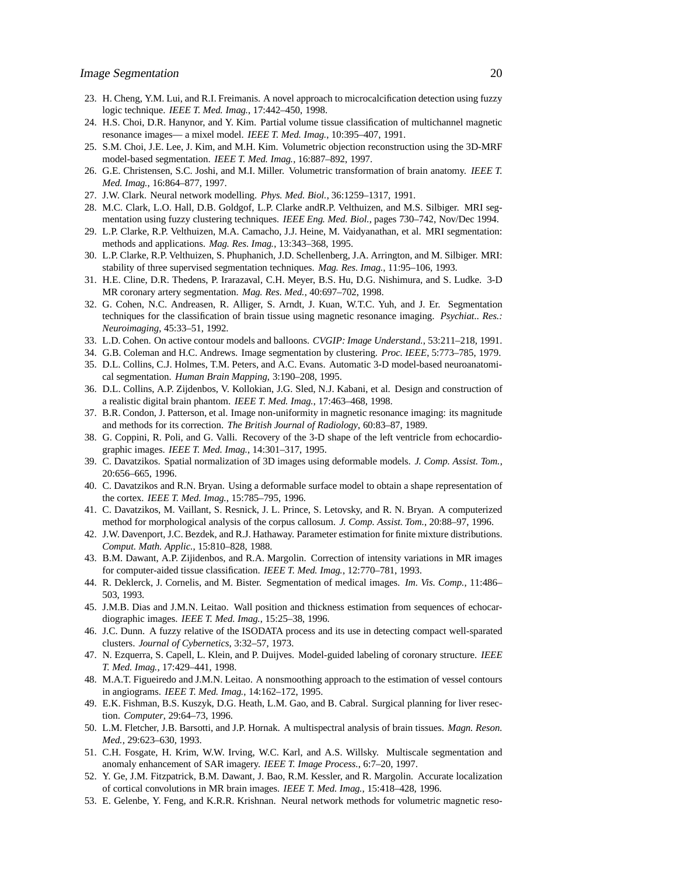- 23. H. Cheng, Y.M. Lui, and R.I. Freimanis. A novel approach to microcalcification detection using fuzzy logic technique. *IEEE T. Med. Imag.*, 17:442–450, 1998.
- 24. H.S. Choi, D.R. Hanynor, and Y. Kim. Partial volume tissue classification of multichannel magnetic resonance images— a mixel model. *IEEE T. Med. Imag.*, 10:395–407, 1991.
- 25. S.M. Choi, J.E. Lee, J. Kim, and M.H. Kim. Volumetric objection reconstruction using the 3D-MRF model-based segmentation. *IEEE T. Med. Imag.*, 16:887–892, 1997.
- 26. G.E. Christensen, S.C. Joshi, and M.I. Miller. Volumetric transformation of brain anatomy. *IEEE T. Med. Imag.*, 16:864–877, 1997.
- 27. J.W. Clark. Neural network modelling. *Phys. Med. Biol.*, 36:1259–1317, 1991.
- 28. M.C. Clark, L.O. Hall, D.B. Goldgof, L.P. Clarke andR.P. Velthuizen, and M.S. Silbiger. MRI segmentation using fuzzy clustering techniques. *IEEE Eng. Med. Biol.*, pages 730–742, Nov/Dec 1994.
- 29. L.P. Clarke, R.P. Velthuizen, M.A. Camacho, J.J. Heine, M. Vaidyanathan, et al. MRI segmentation: methods and applications. *Mag. Res. Imag.*, 13:343–368, 1995.
- 30. L.P. Clarke, R.P. Velthuizen, S. Phuphanich, J.D. Schellenberg, J.A. Arrington, and M. Silbiger. MRI: stability of three supervised segmentation techniques. *Mag. Res. Imag.*, 11:95–106, 1993.
- 31. H.E. Cline, D.R. Thedens, P. Irarazaval, C.H. Meyer, B.S. Hu, D.G. Nishimura, and S. Ludke. 3-D MR coronary artery segmentation. *Mag. Res. Med.*, 40:697–702, 1998.
- 32. G. Cohen, N.C. Andreasen, R. Alliger, S. Arndt, J. Kuan, W.T.C. Yuh, and J. Er. Segmentation techniques for the classification of brain tissue using magnetic resonance imaging. *Psychiat.. Res.: Neuroimaging*, 45:33–51, 1992.
- 33. L.D. Cohen. On active contour models and balloons. *CVGIP: Image Understand.*, 53:211–218, 1991.
- 34. G.B. Coleman and H.C. Andrews. Image segmentation by clustering. *Proc. IEEE*, 5:773–785, 1979.
- 35. D.L. Collins, C.J. Holmes, T.M. Peters, and A.C. Evans. Automatic 3-D model-based neuroanatomical segmentation. *Human Brain Mapping*, 3:190–208, 1995.
- 36. D.L. Collins, A.P. Zijdenbos, V. Kollokian, J.G. Sled, N.J. Kabani, et al. Design and construction of a realistic digital brain phantom. *IEEE T. Med. Imag.*, 17:463–468, 1998.
- 37. B.R. Condon, J. Patterson, et al. Image non-uniformity in magnetic resonance imaging: its magnitude and methods for its correction. *The British Journal of Radiology*, 60:83–87, 1989.
- 38. G. Coppini, R. Poli, and G. Valli. Recovery of the 3-D shape of the left ventricle from echocardiographic images. *IEEE T. Med. Imag.*, 14:301–317, 1995.
- 39. C. Davatzikos. Spatial normalization of 3D images using deformable models. *J. Comp. Assist. Tom.*, 20:656–665, 1996.
- 40. C. Davatzikos and R.N. Bryan. Using a deformable surface model to obtain a shape representation of the cortex. *IEEE T. Med. Imag.*, 15:785–795, 1996.
- 41. C. Davatzikos, M. Vaillant, S. Resnick, J. L. Prince, S. Letovsky, and R. N. Bryan. A computerized method for morphological analysis of the corpus callosum. *J. Comp. Assist. Tom.*, 20:88–97, 1996.
- 42. J.W. Davenport, J.C. Bezdek, and R.J. Hathaway. Parameter estimation for finite mixture distributions. *Comput. Math. Applic.*, 15:810–828, 1988.
- 43. B.M. Dawant, A.P. Zijidenbos, and R.A. Margolin. Correction of intensity variations in MR images for computer-aided tissue classification. *IEEE T. Med. Imag.*, 12:770–781, 1993.
- 44. R. Deklerck, J. Cornelis, and M. Bister. Segmentation of medical images. *Im. Vis. Comp.*, 11:486– 503, 1993.
- 45. J.M.B. Dias and J.M.N. Leitao. Wall position and thickness estimation from sequences of echocardiographic images. *IEEE T. Med. Imag.*, 15:25–38, 1996.
- 46. J.C. Dunn. A fuzzy relative of the ISODATA process and its use in detecting compact well-sparated clusters. *Journal of Cybernetics*, 3:32–57, 1973.
- 47. N. Ezquerra, S. Capell, L. Klein, and P. Duijves. Model-guided labeling of coronary structure. *IEEE T. Med. Imag.*, 17:429–441, 1998.
- 48. M.A.T. Figueiredo and J.M.N. Leitao. A nonsmoothing approach to the estimation of vessel contours in angiograms. *IEEE T. Med. Imag.*, 14:162–172, 1995.
- 49. E.K. Fishman, B.S. Kuszyk, D.G. Heath, L.M. Gao, and B. Cabral. Surgical planning for liver resection. *Computer*, 29:64–73, 1996.
- 50. L.M. Fletcher, J.B. Barsotti, and J.P. Hornak. A multispectral analysis of brain tissues. *Magn. Reson. Med.*, 29:623–630, 1993.
- 51. C.H. Fosgate, H. Krim, W.W. Irving, W.C. Karl, and A.S. Willsky. Multiscale segmentation and anomaly enhancement of SAR imagery. *IEEE T. Image Process.*, 6:7–20, 1997.
- 52. Y. Ge, J.M. Fitzpatrick, B.M. Dawant, J. Bao, R.M. Kessler, and R. Margolin. Accurate localization of cortical convolutions in MR brain images. *IEEE T. Med. Imag.*, 15:418–428, 1996.
- 53. E. Gelenbe, Y. Feng, and K.R.R. Krishnan. Neural network methods for volumetric magnetic reso-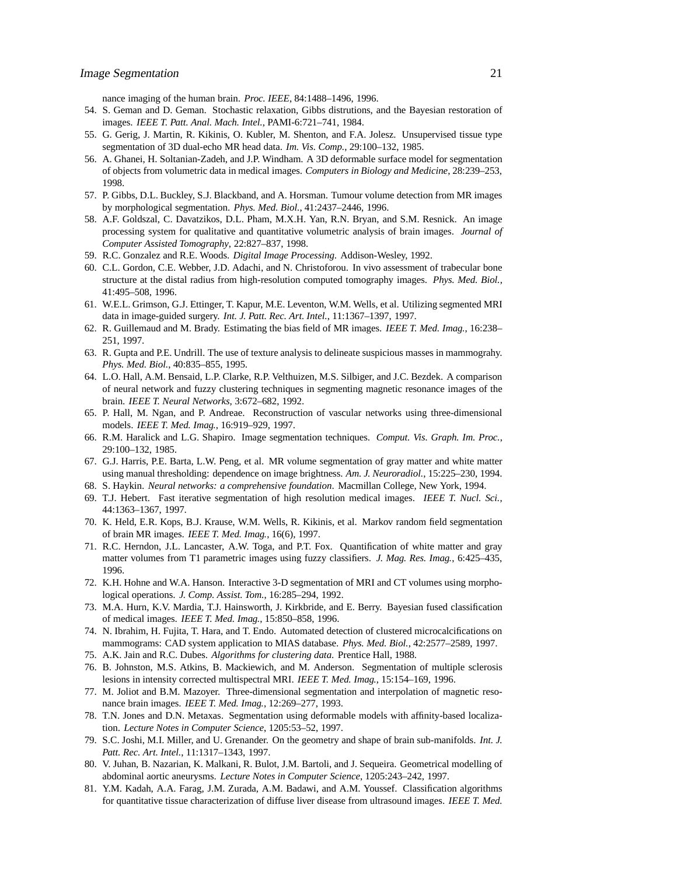nance imaging of the human brain. *Proc. IEEE*, 84:1488–1496, 1996.

- 54. S. Geman and D. Geman. Stochastic relaxation, Gibbs distrutions, and the Bayesian restoration of images. *IEEE T. Patt. Anal. Mach. Intel.*, PAMI-6:721–741, 1984.
- 55. G. Gerig, J. Martin, R. Kikinis, O. Kubler, M. Shenton, and F.A. Jolesz. Unsupervised tissue type segmentation of 3D dual-echo MR head data. *Im. Vis. Comp.*, 29:100–132, 1985.
- 56. A. Ghanei, H. Soltanian-Zadeh, and J.P. Windham. A 3D deformable surface model for segmentation of objects from volumetric data in medical images. *Computers in Biology and Medicine*, 28:239–253, 1998.
- 57. P. Gibbs, D.L. Buckley, S.J. Blackband, and A. Horsman. Tumour volume detection from MR images by morphological segmentation. *Phys. Med. Biol.*, 41:2437–2446, 1996.
- 58. A.F. Goldszal, C. Davatzikos, D.L. Pham, M.X.H. Yan, R.N. Bryan, and S.M. Resnick. An image processing system for qualitative and quantitative volumetric analysis of brain images. *Journal of Computer Assisted Tomography*, 22:827–837, 1998.
- 59. R.C. Gonzalez and R.E. Woods. *Digital Image Processing*. Addison-Wesley, 1992.
- 60. C.L. Gordon, C.E. Webber, J.D. Adachi, and N. Christoforou. In vivo assessment of trabecular bone structure at the distal radius from high-resolution computed tomography images. *Phys. Med. Biol.*, 41:495–508, 1996.
- 61. W.E.L. Grimson, G.J. Ettinger, T. Kapur, M.E. Leventon, W.M. Wells, et al. Utilizing segmented MRI data in image-guided surgery. *Int. J. Patt. Rec. Art. Intel.*, 11:1367–1397, 1997.
- 62. R. Guillemaud and M. Brady. Estimating the bias field of MR images. *IEEE T. Med. Imag.*, 16:238– 251, 1997.
- 63. R. Gupta and P.E. Undrill. The use of texture analysis to delineate suspicious masses in mammograhy. *Phys. Med. Biol.*, 40:835–855, 1995.
- 64. L.O. Hall, A.M. Bensaid, L.P. Clarke, R.P. Velthuizen, M.S. Silbiger, and J.C. Bezdek. A comparison of neural network and fuzzy clustering techniques in segmenting magnetic resonance images of the brain. *IEEE T. Neural Networks*, 3:672–682, 1992.
- 65. P. Hall, M. Ngan, and P. Andreae. Reconstruction of vascular networks using three-dimensional models. *IEEE T. Med. Imag.*, 16:919–929, 1997.
- 66. R.M. Haralick and L.G. Shapiro. Image segmentation techniques. *Comput. Vis. Graph. Im. Proc.*, 29:100–132, 1985.
- 67. G.J. Harris, P.E. Barta, L.W. Peng, et al. MR volume segmentation of gray matter and white matter using manual thresholding: dependence on image brightness. *Am. J. Neuroradiol.*, 15:225–230, 1994.
- 68. S. Haykin. *Neural networks: a comprehensive foundation*. Macmillan College, New York, 1994.
- 69. T.J. Hebert. Fast iterative segmentation of high resolution medical images. *IEEE T. Nucl. Sci.*, 44:1363–1367, 1997.
- 70. K. Held, E.R. Kops, B.J. Krause, W.M. Wells, R. Kikinis, et al. Markov random field segmentation of brain MR images. *IEEE T. Med. Imag.*, 16(6), 1997.
- 71. R.C. Herndon, J.L. Lancaster, A.W. Toga, and P.T. Fox. Quantification of white matter and gray matter volumes from T1 parametric images using fuzzy classifiers. *J. Mag. Res. Imag.*, 6:425–435, 1996.
- 72. K.H. Hohne and W.A. Hanson. Interactive 3-D segmentation of MRI and CT volumes using morphological operations. *J. Comp. Assist. Tom.*, 16:285–294, 1992.
- 73. M.A. Hurn, K.V. Mardia, T.J. Hainsworth, J. Kirkbride, and E. Berry. Bayesian fused classification of medical images. *IEEE T. Med. Imag.*, 15:850–858, 1996.
- 74. N. Ibrahim, H. Fujita, T. Hara, and T. Endo. Automated detection of clustered microcalcifications on mammograms: CAD system application to MIAS database. *Phys. Med. Biol.*, 42:2577–2589, 1997.
- 75. A.K. Jain and R.C. Dubes. *Algorithms for clustering data*. Prentice Hall, 1988.
- 76. B. Johnston, M.S. Atkins, B. Mackiewich, and M. Anderson. Segmentation of multiple sclerosis lesions in intensity corrected multispectral MRI. *IEEE T. Med. Imag.*, 15:154–169, 1996.
- 77. M. Joliot and B.M. Mazoyer. Three-dimensional segmentation and interpolation of magnetic resonance brain images. *IEEE T. Med. Imag.*, 12:269–277, 1993.
- 78. T.N. Jones and D.N. Metaxas. Segmentation using deformable models with affinity-based localization. *Lecture Notes in Computer Science*, 1205:53–52, 1997.
- 79. S.C. Joshi, M.I. Miller, and U. Grenander. On the geometry and shape of brain sub-manifolds. *Int. J. Patt. Rec. Art. Intel.*, 11:1317–1343, 1997.
- 80. V. Juhan, B. Nazarian, K. Malkani, R. Bulot, J.M. Bartoli, and J. Sequeira. Geometrical modelling of abdominal aortic aneurysms. *Lecture Notes in Computer Science*, 1205:243–242, 1997.
- 81. Y.M. Kadah, A.A. Farag, J.M. Zurada, A.M. Badawi, and A.M. Youssef. Classification algorithms for quantitative tissue characterization of diffuse liver disease from ultrasound images. *IEEE T. Med.*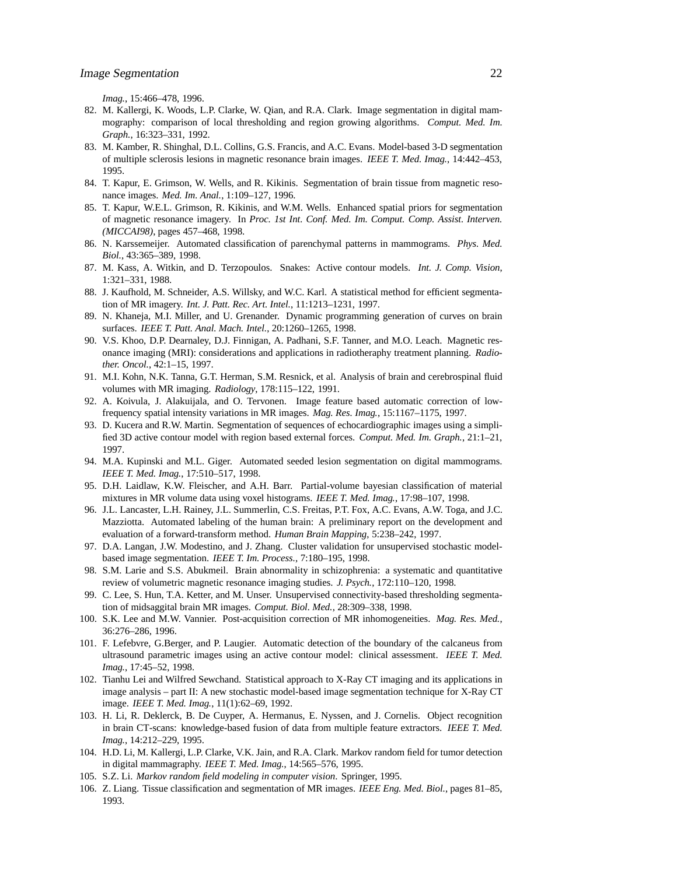*Imag.*, 15:466–478, 1996.

- 82. M. Kallergi, K. Woods, L.P. Clarke, W. Qian, and R.A. Clark. Image segmentation in digital mammography: comparison of local thresholding and region growing algorithms. *Comput. Med. Im. Graph.*, 16:323–331, 1992.
- 83. M. Kamber, R. Shinghal, D.L. Collins, G.S. Francis, and A.C. Evans. Model-based 3-D segmentation of multiple sclerosis lesions in magnetic resonance brain images. *IEEE T. Med. Imag.*, 14:442–453, 1995.
- 84. T. Kapur, E. Grimson, W. Wells, and R. Kikinis. Segmentation of brain tissue from magnetic resonance images. *Med. Im. Anal.*, 1:109–127, 1996.
- 85. T. Kapur, W.E.L. Grimson, R. Kikinis, and W.M. Wells. Enhanced spatial priors for segmentation of magnetic resonance imagery. In *Proc. 1st Int. Conf. Med. Im. Comput. Comp. Assist. Interven. (MICCAI98)*, pages 457–468, 1998.
- 86. N. Karssemeijer. Automated classification of parenchymal patterns in mammograms. *Phys. Med. Biol.*, 43:365–389, 1998.
- 87. M. Kass, A. Witkin, and D. Terzopoulos. Snakes: Active contour models. *Int. J. Comp. Vision*, 1:321–331, 1988.
- 88. J. Kaufhold, M. Schneider, A.S. Willsky, and W.C. Karl. A statistical method for efficient segmentation of MR imagery. *Int. J. Patt. Rec. Art. Intel.*, 11:1213–1231, 1997.
- 89. N. Khaneja, M.I. Miller, and U. Grenander. Dynamic programming generation of curves on brain surfaces. *IEEE T. Patt. Anal. Mach. Intel.*, 20:1260–1265, 1998.
- 90. V.S. Khoo, D.P. Dearnaley, D.J. Finnigan, A. Padhani, S.F. Tanner, and M.O. Leach. Magnetic resonance imaging (MRI): considerations and applications in radiotheraphy treatment planning. *Radiother. Oncol.*, 42:1–15, 1997.
- 91. M.I. Kohn, N.K. Tanna, G.T. Herman, S.M. Resnick, et al. Analysis of brain and cerebrospinal fluid volumes with MR imaging. *Radiology*, 178:115–122, 1991.
- 92. A. Koivula, J. Alakuijala, and O. Tervonen. Image feature based automatic correction of lowfrequency spatial intensity variations in MR images. *Mag. Res. Imag.*, 15:1167–1175, 1997.
- 93. D. Kucera and R.W. Martin. Segmentation of sequences of echocardiographic images using a simplified 3D active contour model with region based external forces. *Comput. Med. Im. Graph.*, 21:1–21, 1997.
- 94. M.A. Kupinski and M.L. Giger. Automated seeded lesion segmentation on digital mammograms. *IEEE T. Med. Imag.*, 17:510–517, 1998.
- 95. D.H. Laidlaw, K.W. Fleischer, and A.H. Barr. Partial-volume bayesian classification of material mixtures in MR volume data using voxel histograms. *IEEE T. Med. Imag.*, 17:98–107, 1998.
- 96. J.L. Lancaster, L.H. Rainey, J.L. Summerlin, C.S. Freitas, P.T. Fox, A.C. Evans, A.W. Toga, and J.C. Mazziotta. Automated labeling of the human brain: A preliminary report on the development and evaluation of a forward-transform method. *Human Brain Mapping*, 5:238–242, 1997.
- 97. D.A. Langan, J.W. Modestino, and J. Zhang. Cluster validation for unsupervised stochastic modelbased image segmentation. *IEEE T. Im. Process.*, 7:180–195, 1998.
- 98. S.M. Larie and S.S. Abukmeil. Brain abnormality in schizophrenia: a systematic and quantitative review of volumetric magnetic resonance imaging studies. *J. Psych.*, 172:110–120, 1998.
- 99. C. Lee, S. Hun, T.A. Ketter, and M. Unser. Unsupervised connectivity-based thresholding segmentation of midsaggital brain MR images. *Comput. Biol. Med.*, 28:309–338, 1998.
- 100. S.K. Lee and M.W. Vannier. Post-acquisition correction of MR inhomogeneities. *Mag. Res. Med.*, 36:276–286, 1996.
- 101. F. Lefebvre, G.Berger, and P. Laugier. Automatic detection of the boundary of the calcaneus from ultrasound parametric images using an active contour model: clinical assessment. *IEEE T. Med. Imag.*, 17:45–52, 1998.
- 102. Tianhu Lei and Wilfred Sewchand. Statistical approach to X-Ray CT imaging and its applications in image analysis – part II: A new stochastic model-based image segmentation technique for X-Ray CT image. *IEEE T. Med. Imag.*, 11(1):62–69, 1992.
- 103. H. Li, R. Deklerck, B. De Cuyper, A. Hermanus, E. Nyssen, and J. Cornelis. Object recognition in brain CT-scans: knowledge-based fusion of data from multiple feature extractors. *IEEE T. Med. Imag.*, 14:212–229, 1995.
- 104. H.D. Li, M. Kallergi, L.P. Clarke, V.K. Jain, and R.A. Clark. Markov random field for tumor detection in digital mammagraphy. *IEEE T. Med. Imag.*, 14:565–576, 1995.
- 105. S.Z. Li. *Markov random field modeling in computer vision*. Springer, 1995.
- 106. Z. Liang. Tissue classification and segmentation of MR images. *IEEE Eng. Med. Biol.*, pages 81–85, 1993.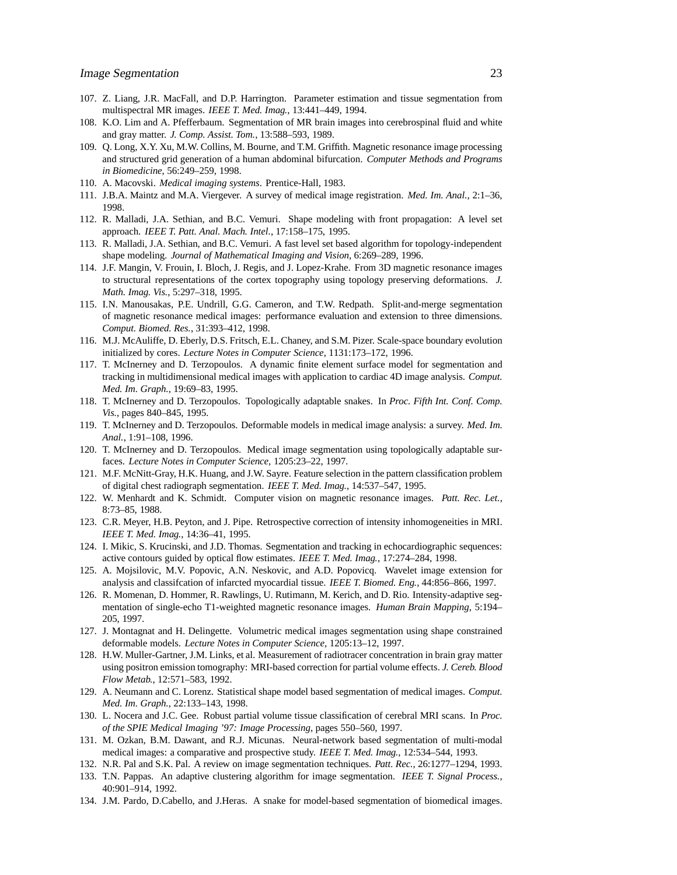- 107. Z. Liang, J.R. MacFall, and D.P. Harrington. Parameter estimation and tissue segmentation from multispectral MR images. *IEEE T. Med. Imag.*, 13:441–449, 1994.
- 108. K.O. Lim and A. Pfefferbaum. Segmentation of MR brain images into cerebrospinal fluid and white and gray matter. *J. Comp. Assist. Tom.*, 13:588–593, 1989.
- 109. Q. Long, X.Y. Xu, M.W. Collins, M. Bourne, and T.M. Griffith. Magnetic resonance image processing and structured grid generation of a human abdominal bifurcation. *Computer Methods and Programs in Biomedicine*, 56:249–259, 1998.
- 110. A. Macovski. *Medical imaging systems*. Prentice-Hall, 1983.
- 111. J.B.A. Maintz and M.A. Viergever. A survey of medical image registration. *Med. Im. Anal.*, 2:1–36, 1998.
- 112. R. Malladi, J.A. Sethian, and B.C. Vemuri. Shape modeling with front propagation: A level set approach. *IEEE T. Patt. Anal. Mach. Intel.*, 17:158–175, 1995.
- 113. R. Malladi, J.A. Sethian, and B.C. Vemuri. A fast level set based algorithm for topology-independent shape modeling. *Journal of Mathematical Imaging and Vision*, 6:269–289, 1996.
- 114. J.F. Mangin, V. Frouin, I. Bloch, J. Regis, and J. Lopez-Krahe. From 3D magnetic resonance images to structural representations of the cortex topography using topology preserving deformations. *J. Math. Imag. Vis.*, 5:297–318, 1995.
- 115. I.N. Manousakas, P.E. Undrill, G.G. Cameron, and T.W. Redpath. Split-and-merge segmentation of magnetic resonance medical images: performance evaluation and extension to three dimensions. *Comput. Biomed. Res.*, 31:393–412, 1998.
- 116. M.J. McAuliffe, D. Eberly, D.S. Fritsch, E.L. Chaney, and S.M. Pizer. Scale-space boundary evolution initialized by cores. *Lecture Notes in Computer Science*, 1131:173–172, 1996.
- 117. T. McInerney and D. Terzopoulos. A dynamic finite element surface model for segmentation and tracking in multidimensional medical images with application to cardiac 4D image analysis. *Comput. Med. Im. Graph.*, 19:69–83, 1995.
- 118. T. McInerney and D. Terzopoulos. Topologically adaptable snakes. In *Proc. Fifth Int. Conf. Comp. Vis.*, pages 840–845, 1995.
- 119. T. McInerney and D. Terzopoulos. Deformable models in medical image analysis: a survey. *Med. Im. Anal.*, 1:91–108, 1996.
- 120. T. McInerney and D. Terzopoulos. Medical image segmentation using topologically adaptable surfaces. *Lecture Notes in Computer Science*, 1205:23–22, 1997.
- 121. M.F. McNitt-Gray, H.K. Huang, and J.W. Sayre. Feature selection in the pattern classification problem of digital chest radiograph segmentation. *IEEE T. Med. Imag.*, 14:537–547, 1995.
- 122. W. Menhardt and K. Schmidt. Computer vision on magnetic resonance images. *Patt. Rec. Let.*, 8:73–85, 1988.
- 123. C.R. Meyer, H.B. Peyton, and J. Pipe. Retrospective correction of intensity inhomogeneities in MRI. *IEEE T. Med. Imag.*, 14:36–41, 1995.
- 124. I. Mikic, S. Krucinski, and J.D. Thomas. Segmentation and tracking in echocardiographic sequences: active contours guided by optical flow estimates. *IEEE T. Med. Imag.*, 17:274–284, 1998.
- 125. A. Mojsilovic, M.V. Popovic, A.N. Neskovic, and A.D. Popovicq. Wavelet image extension for analysis and classifcation of infarcted myocardial tissue. *IEEE T. Biomed. Eng.*, 44:856–866, 1997.
- 126. R. Momenan, D. Hommer, R. Rawlings, U. Rutimann, M. Kerich, and D. Rio. Intensity-adaptive segmentation of single-echo T1-weighted magnetic resonance images. *Human Brain Mapping*, 5:194– 205, 1997.
- 127. J. Montagnat and H. Delingette. Volumetric medical images segmentation using shape constrained deformable models. *Lecture Notes in Computer Science*, 1205:13–12, 1997.
- 128. H.W. Muller-Gartner, J.M. Links, et al. Measurement of radiotracer concentration in brain gray matter using positron emission tomography: MRI-based correction for partial volume effects. *J. Cereb. Blood Flow Metab.*, 12:571–583, 1992.
- 129. A. Neumann and C. Lorenz. Statistical shape model based segmentation of medical images. *Comput. Med. Im. Graph.*, 22:133–143, 1998.
- 130. L. Nocera and J.C. Gee. Robust partial volume tissue classification of cerebral MRI scans. In *Proc. of the SPIE Medical Imaging '97: Image Processing*, pages 550–560, 1997.
- 131. M. Ozkan, B.M. Dawant, and R.J. Micunas. Neural-network based segmentation of multi-modal medical images: a comparative and prospective study. *IEEE T. Med. Imag.*, 12:534–544, 1993.
- 132. N.R. Pal and S.K. Pal. A review on image segmentation techniques. *Patt. Rec.*, 26:1277–1294, 1993.
- 133. T.N. Pappas. An adaptive clustering algorithm for image segmentation. *IEEE T. Signal Process.*, 40:901–914, 1992.
- 134. J.M. Pardo, D.Cabello, and J.Heras. A snake for model-based segmentation of biomedical images.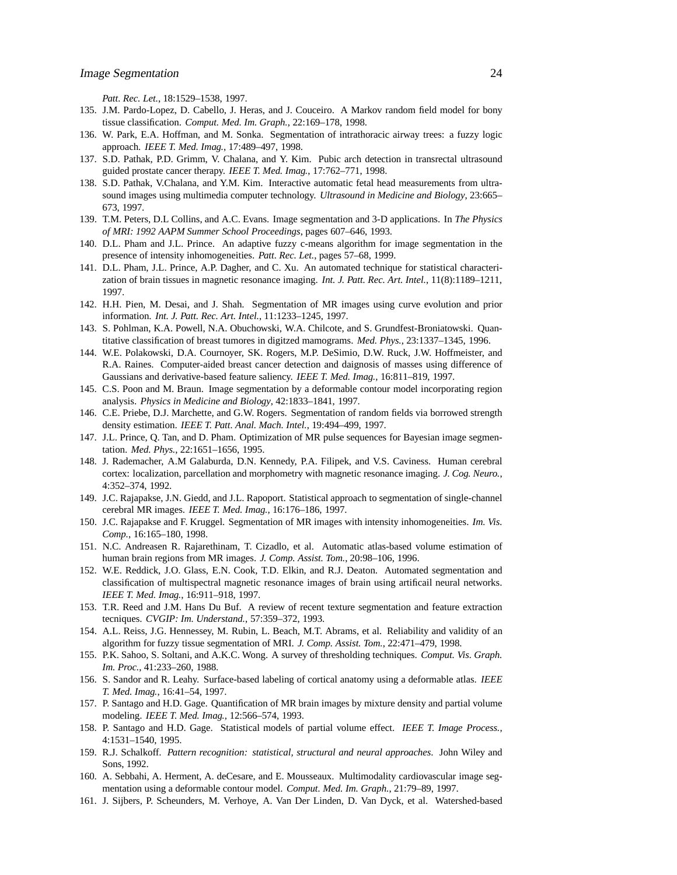*Patt. Rec. Let.*, 18:1529–1538, 1997.

- 135. J.M. Pardo-Lopez, D. Cabello, J. Heras, and J. Couceiro. A Markov random field model for bony tissue classification. *Comput. Med. Im. Graph.*, 22:169–178, 1998.
- 136. W. Park, E.A. Hoffman, and M. Sonka. Segmentation of intrathoracic airway trees: a fuzzy logic approach. *IEEE T. Med. Imag.*, 17:489–497, 1998.
- 137. S.D. Pathak, P.D. Grimm, V. Chalana, and Y. Kim. Pubic arch detection in transrectal ultrasound guided prostate cancer therapy. *IEEE T. Med. Imag.*, 17:762–771, 1998.
- 138. S.D. Pathak, V.Chalana, and Y.M. Kim. Interactive automatic fetal head measurements from ultrasound images using multimedia computer technology. *Ultrasound in Medicine and Biology*, 23:665– 673, 1997.
- 139. T.M. Peters, D.L Collins, and A.C. Evans. Image segmentation and 3-D applications. In *The Physics of MRI: 1992 AAPM Summer School Proceedings*, pages 607–646, 1993.
- 140. D.L. Pham and J.L. Prince. An adaptive fuzzy c-means algorithm for image segmentation in the presence of intensity inhomogeneities. *Patt. Rec. Let.*, pages 57–68, 1999.
- 141. D.L. Pham, J.L. Prince, A.P. Dagher, and C. Xu. An automated technique for statistical characterization of brain tissues in magnetic resonance imaging. *Int. J. Patt. Rec. Art. Intel.*, 11(8):1189–1211, 1997.
- 142. H.H. Pien, M. Desai, and J. Shah. Segmentation of MR images using curve evolution and prior information. *Int. J. Patt. Rec. Art. Intel.*, 11:1233–1245, 1997.
- 143. S. Pohlman, K.A. Powell, N.A. Obuchowski, W.A. Chilcote, and S. Grundfest-Broniatowski. Quantitative classification of breast tumores in digitzed mamograms. *Med. Phys.*, 23:1337–1345, 1996.
- 144. W.E. Polakowski, D.A. Cournoyer, SK. Rogers, M.P. DeSimio, D.W. Ruck, J.W. Hoffmeister, and R.A. Raines. Computer-aided breast cancer detection and daignosis of masses using difference of Gaussians and derivative-based feature saliency. *IEEE T. Med. Imag.*, 16:811–819, 1997.
- 145. C.S. Poon and M. Braun. Image segmentation by a deformable contour model incorporating region analysis. *Physics in Medicine and Biology*, 42:1833–1841, 1997.
- 146. C.E. Priebe, D.J. Marchette, and G.W. Rogers. Segmentation of random fields via borrowed strength density estimation. *IEEE T. Patt. Anal. Mach. Intel.*, 19:494–499, 1997.
- 147. J.L. Prince, Q. Tan, and D. Pham. Optimization of MR pulse sequences for Bayesian image segmentation. *Med. Phys.*, 22:1651–1656, 1995.
- 148. J. Rademacher, A.M Galaburda, D.N. Kennedy, P.A. Filipek, and V.S. Caviness. Human cerebral cortex: localization, parcellation and morphometry with magnetic resonance imaging. *J. Cog. Neuro.*, 4:352–374, 1992.
- 149. J.C. Rajapakse, J.N. Giedd, and J.L. Rapoport. Statistical approach to segmentation of single-channel cerebral MR images. *IEEE T. Med. Imag.*, 16:176–186, 1997.
- 150. J.C. Rajapakse and F. Kruggel. Segmentation of MR images with intensity inhomogeneities. *Im. Vis. Comp.*, 16:165–180, 1998.
- 151. N.C. Andreasen R. Rajarethinam, T. Cizadlo, et al. Automatic atlas-based volume estimation of human brain regions from MR images. *J. Comp. Assist. Tom.*, 20:98–106, 1996.
- 152. W.E. Reddick, J.O. Glass, E.N. Cook, T.D. Elkin, and R.J. Deaton. Automated segmentation and classification of multispectral magnetic resonance images of brain using artificail neural networks. *IEEE T. Med. Imag.*, 16:911–918, 1997.
- 153. T.R. Reed and J.M. Hans Du Buf. A review of recent texture segmentation and feature extraction tecniques. *CVGIP: Im. Understand.*, 57:359–372, 1993.
- 154. A.L. Reiss, J.G. Hennessey, M. Rubin, L. Beach, M.T. Abrams, et al. Reliability and validity of an algorithm for fuzzy tissue segmentation of MRI. *J. Comp. Assist. Tom.*, 22:471–479, 1998.
- 155. P.K. Sahoo, S. Soltani, and A.K.C. Wong. A survey of thresholding techniques. *Comput. Vis. Graph. Im. Proc.*, 41:233–260, 1988.
- 156. S. Sandor and R. Leahy. Surface-based labeling of cortical anatomy using a deformable atlas. *IEEE T. Med. Imag.*, 16:41–54, 1997.
- 157. P. Santago and H.D. Gage. Quantification of MR brain images by mixture density and partial volume modeling. *IEEE T. Med. Imag.*, 12:566–574, 1993.
- 158. P. Santago and H.D. Gage. Statistical models of partial volume effect. *IEEE T. Image Process.*, 4:1531–1540, 1995.
- 159. R.J. Schalkoff. *Pattern recognition: statistical, structural and neural approaches*. John Wiley and Sons, 1992.
- 160. A. Sebbahi, A. Herment, A. deCesare, and E. Mousseaux. Multimodality cardiovascular image segmentation using a deformable contour model. *Comput. Med. Im. Graph.*, 21:79–89, 1997.
- 161. J. Sijbers, P. Scheunders, M. Verhoye, A. Van Der Linden, D. Van Dyck, et al. Watershed-based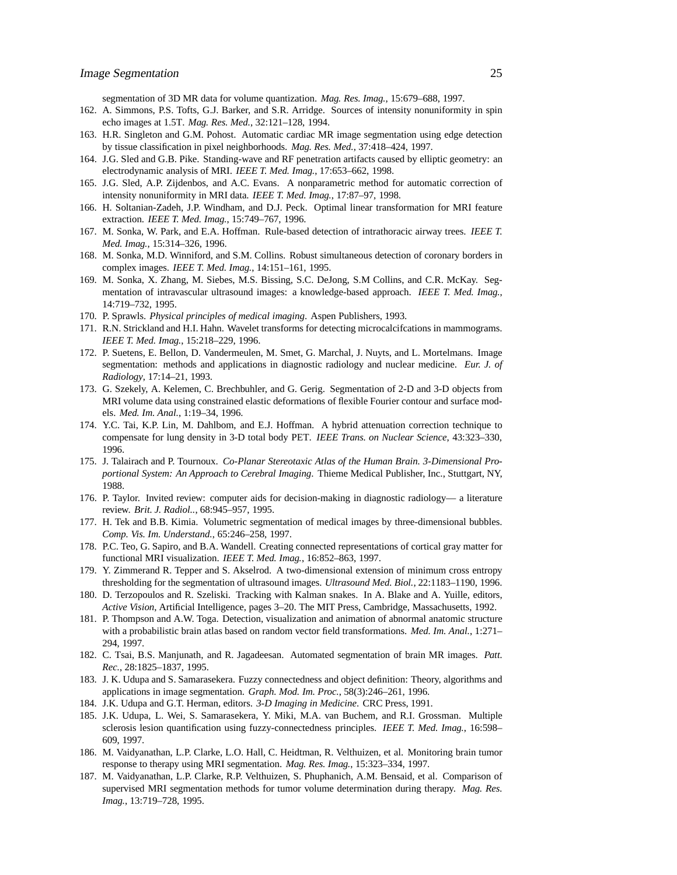segmentation of 3D MR data for volume quantization. *Mag. Res. Imag.*, 15:679–688, 1997.

- 162. A. Simmons, P.S. Tofts, G.J. Barker, and S.R. Arridge. Sources of intensity nonuniformity in spin echo images at 1.5T. *Mag. Res. Med.*, 32:121–128, 1994.
- 163. H.R. Singleton and G.M. Pohost. Automatic cardiac MR image segmentation using edge detection by tissue classification in pixel neighborhoods. *Mag. Res. Med.*, 37:418–424, 1997.
- 164. J.G. Sled and G.B. Pike. Standing-wave and RF penetration artifacts caused by elliptic geometry: an electrodynamic analysis of MRI. *IEEE T. Med. Imag.*, 17:653–662, 1998.
- 165. J.G. Sled, A.P. Zijdenbos, and A.C. Evans. A nonparametric method for automatic correction of intensity nonuniformity in MRI data. *IEEE T. Med. Imag.*, 17:87–97, 1998.
- 166. H. Soltanian-Zadeh, J.P. Windham, and D.J. Peck. Optimal linear transformation for MRI feature extraction. *IEEE T. Med. Imag.*, 15:749–767, 1996.
- 167. M. Sonka, W. Park, and E.A. Hoffman. Rule-based detection of intrathoracic airway trees. *IEEE T. Med. Imag.*, 15:314–326, 1996.
- 168. M. Sonka, M.D. Winniford, and S.M. Collins. Robust simultaneous detection of coronary borders in complex images. *IEEE T. Med. Imag.*, 14:151–161, 1995.
- 169. M. Sonka, X. Zhang, M. Siebes, M.S. Bissing, S.C. DeJong, S.M Collins, and C.R. McKay. Segmentation of intravascular ultrasound images: a knowledge-based approach. *IEEE T. Med. Imag.*, 14:719–732, 1995.
- 170. P. Sprawls. *Physical principles of medical imaging*. Aspen Publishers, 1993.
- 171. R.N. Strickland and H.I. Hahn. Wavelet transforms for detecting microcalcifcations in mammograms. *IEEE T. Med. Imag.*, 15:218–229, 1996.
- 172. P. Suetens, E. Bellon, D. Vandermeulen, M. Smet, G. Marchal, J. Nuyts, and L. Mortelmans. Image segmentation: methods and applications in diagnostic radiology and nuclear medicine. *Eur. J. of Radiology*, 17:14–21, 1993.
- 173. G. Szekely, A. Kelemen, C. Brechbuhler, and G. Gerig. Segmentation of 2-D and 3-D objects from MRI volume data using constrained elastic deformations of flexible Fourier contour and surface models. *Med. Im. Anal.*, 1:19–34, 1996.
- 174. Y.C. Tai, K.P. Lin, M. Dahlbom, and E.J. Hoffman. A hybrid attenuation correction technique to compensate for lung density in 3-D total body PET. *IEEE Trans. on Nuclear Science*, 43:323–330, 1996.
- 175. J. Talairach and P. Tournoux. *Co-Planar Stereotaxic Atlas of the Human Brain. 3-Dimensional Proportional System: An Approach to Cerebral Imaging*. Thieme Medical Publisher, Inc., Stuttgart, NY, 1988.
- 176. P. Taylor. Invited review: computer aids for decision-making in diagnostic radiology— a literature review. *Brit. J. Radiol..*, 68:945–957, 1995.
- 177. H. Tek and B.B. Kimia. Volumetric segmentation of medical images by three-dimensional bubbles. *Comp. Vis. Im. Understand.*, 65:246–258, 1997.
- 178. P.C. Teo, G. Sapiro, and B.A. Wandell. Creating connected representations of cortical gray matter for functional MRI visualization. *IEEE T. Med. Imag.*, 16:852–863, 1997.
- 179. Y. Zimmerand R. Tepper and S. Akselrod. A two-dimensional extension of minimum cross entropy thresholding for the segmentation of ultrasound images. *Ultrasound Med. Biol.*, 22:1183–1190, 1996.
- 180. D. Terzopoulos and R. Szeliski. Tracking with Kalman snakes. In A. Blake and A. Yuille, editors, *Active Vision*, Artificial Intelligence, pages 3–20. The MIT Press, Cambridge, Massachusetts, 1992.
- 181. P. Thompson and A.W. Toga. Detection, visualization and animation of abnormal anatomic structure with a probabilistic brain atlas based on random vector field transformations. *Med. Im. Anal.*, 1:271– 294, 1997.
- 182. C. Tsai, B.S. Manjunath, and R. Jagadeesan. Automated segmentation of brain MR images. *Patt. Rec.*, 28:1825–1837, 1995.
- 183. J. K. Udupa and S. Samarasekera. Fuzzy connectedness and object definition: Theory, algorithms and applications in image segmentation. *Graph. Mod. Im. Proc.*, 58(3):246–261, 1996.
- 184. J.K. Udupa and G.T. Herman, editors. *3-D Imaging in Medicine*. CRC Press, 1991.
- 185. J.K. Udupa, L. Wei, S. Samarasekera, Y. Miki, M.A. van Buchem, and R.I. Grossman. Multiple sclerosis lesion quantification using fuzzy-connectedness principles. *IEEE T. Med. Imag.*, 16:598– 609, 1997.
- 186. M. Vaidyanathan, L.P. Clarke, L.O. Hall, C. Heidtman, R. Velthuizen, et al. Monitoring brain tumor response to therapy using MRI segmentation. *Mag. Res. Imag.*, 15:323–334, 1997.
- 187. M. Vaidyanathan, L.P. Clarke, R.P. Velthuizen, S. Phuphanich, A.M. Bensaid, et al. Comparison of supervised MRI segmentation methods for tumor volume determination during therapy. *Mag. Res. Imag.*, 13:719–728, 1995.